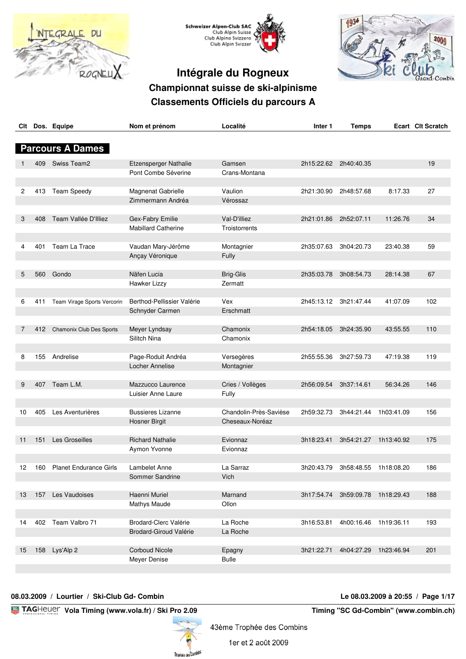





| Clt             |     | Dos. Equipe                   | Nom et prénom                | Localité               | Inter 1    | <b>Temps</b> |            | Ecart Clt Scratch |
|-----------------|-----|-------------------------------|------------------------------|------------------------|------------|--------------|------------|-------------------|
|                 |     |                               |                              |                        |            |              |            |                   |
|                 |     | <b>Parcours A Dames</b>       |                              |                        |            |              |            |                   |
|                 | 409 | Swiss Team2                   | <b>Etzensperger Nathalie</b> | Gamsen                 | 2h15:22.62 | 2h40:40.35   |            | 19                |
|                 |     |                               | Pont Combe Séverine          | Crans-Montana          |            |              |            |                   |
| 2               | 413 | <b>Team Speedy</b>            | Magnenat Gabrielle           | Vaulion                | 2h21:30.90 | 2h48:57.68   | 8:17.33    | 27                |
|                 |     |                               | Zimmermann Andréa            | Vérossaz               |            |              |            |                   |
| 3               | 408 | Team Vallée D'Illiez          | Gex-Fabry Emilie             | Val-D'illiez           | 2h21:01.86 | 2h52:07.11   | 11:26.76   | 34                |
|                 |     |                               | <b>Mabillard Catherine</b>   | Troistorrents          |            |              |            |                   |
|                 |     |                               |                              |                        |            |              |            |                   |
| 4               | 401 | Team La Trace                 | Vaudan Mary-Jérôme           | Montagnier             | 2h35:07.63 | 3h04:20.73   | 23:40.38   | 59                |
|                 |     |                               | Ançay Véronique              | Fully                  |            |              |            |                   |
|                 |     |                               |                              |                        |            |              |            |                   |
| 5               | 560 | Gondo                         | Näfen Lucia                  | <b>Brig-Glis</b>       | 2h35:03.78 | 3h08:54.73   | 28:14.38   | 67                |
|                 |     |                               | Hawker Lizzy                 | Zermatt                |            |              |            |                   |
|                 |     |                               |                              |                        |            |              |            |                   |
| 6               | 411 | Team Virage Sports Vercorin   | Berthod-Pellissier Valérie   | Vex<br>Erschmatt       | 2h45:13.12 | 3h21:47.44   | 41:07.09   | 102               |
|                 |     |                               | Schnyder Carmen              |                        |            |              |            |                   |
| 7               | 412 | Chamonix Club Des Sports      | Meyer Lyndsay                | Chamonix               | 2h54:18.05 | 3h24:35.90   | 43:55.55   | 110               |
|                 |     |                               | Silitch Nina                 | Chamonix               |            |              |            |                   |
|                 |     |                               |                              |                        |            |              |            |                   |
| 8               |     | 155 Andrelise                 | Page-Roduit Andréa           | Versegères             | 2h55:55.36 | 3h27:59.73   | 47:19.38   | 119               |
|                 |     |                               | Locher Annelise              | Montagnier             |            |              |            |                   |
|                 |     |                               |                              |                        |            |              |            |                   |
| 9               | 407 | Team L.M.                     | Mazzucco Laurence            | Cries / Vollèges       | 2h56:09.54 | 3h37:14.61   | 56:34.26   | 146               |
|                 |     |                               | Luisier Anne Laure           | Fully                  |            |              |            |                   |
|                 |     |                               |                              |                        |            |              |            |                   |
| 10              | 405 | Les Aventurières              | <b>Bussieres Lizanne</b>     | Chandolin-Près-Savièse | 2h59:32.73 | 3h44:21.44   | 1h03:41.09 | 156               |
|                 |     |                               | <b>Hosner Birgit</b>         | Cheseaux-Noréaz        |            |              |            |                   |
|                 |     |                               |                              |                        |            |              |            |                   |
| 11              | 151 | Les Groseilles                | <b>Richard Nathalie</b>      | Evionnaz               | 3h18:23.41 | 3h54:21.27   | 1h13:40.92 | 175               |
|                 |     |                               | Aymon Yvonne                 | Evionnaz               |            |              |            |                   |
| 12 <sup>2</sup> | 160 | <b>Planet Endurance Girls</b> | Lambelet Anne                | La Sarraz              | 3h20:43.79 | 3h58:48.55   | 1h18:08.20 | 186               |
|                 |     |                               | Sommer Sandrine              | Vich                   |            |              |            |                   |
|                 |     |                               |                              |                        |            |              |            |                   |
| 13              | 157 | Les Vaudoises                 | Haenni Muriel                | Marnand                | 3h17:54.74 | 3h59:09.78   | 1h18:29.43 | 188               |
|                 |     |                               | Mathys Maude                 | Ollon                  |            |              |            |                   |
|                 |     |                               |                              |                        |            |              |            |                   |
| 14              | 402 | Team Valbro 71                | Brodard-Clerc Valérie        | La Roche               | 3h16:53.81 | 4h00:16.46   | 1h19:36.11 | 193               |
|                 |     |                               | Brodard-Giroud Valérie       | La Roche               |            |              |            |                   |
|                 |     |                               |                              |                        |            |              |            |                   |
| 15              | 158 | Lys'Alp 2                     | <b>Corboud Nicole</b>        | Epagny                 | 3h21:22.71 | 4h04:27.29   | 1h23:46.94 | 201               |
|                 |     |                               | Meyer Denise                 | <b>Bulle</b>           |            |              |            |                   |
|                 |     |                               |                              |                        |            |              |            |                   |

#### **08.03.2009 / Lourtier / Ski-Club Gd- Combin Le 08.03.2009 à 20:55 / Page 1/17**

**EXAGHELIEF Vola Timing (www.vola.fr) / Ski Pro 2.09 The State of Timing "SC Gd-Combin" (www.combin.ch)** 



1er et 2 août 2009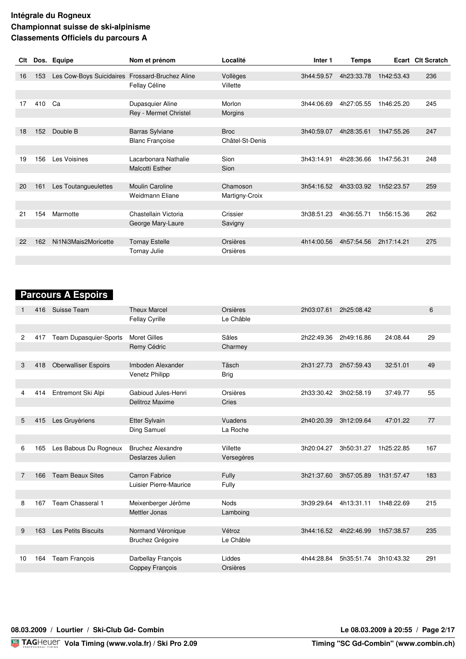| Clt |     | Dos. Equipe                                     | Nom et prénom          | Localité        | Inter <sub>1</sub> | <b>Temps</b> |            | Ecart CIt Scratch |
|-----|-----|-------------------------------------------------|------------------------|-----------------|--------------------|--------------|------------|-------------------|
|     |     |                                                 |                        |                 |                    |              |            |                   |
| 16  | 153 | Les Cow-Boys Suicidaires Frossard-Bruchez Aline |                        | Vollèges        | 3h44:59.57         | 4h23:33.78   | 1h42:53.43 | 236               |
|     |     |                                                 | Fellay Céline          | Villette        |                    |              |            |                   |
|     |     |                                                 |                        |                 |                    |              |            |                   |
| 17  | 410 | Ca                                              | Dupasquier Aline       | Morlon          | 3h44:06.69         | 4h27:05.55   | 1h46:25.20 | 245               |
|     |     |                                                 | Rey - Mermet Christel  | Morgins         |                    |              |            |                   |
|     |     |                                                 |                        |                 |                    |              |            |                   |
| 18  | 152 | Double B                                        | <b>Barras Sylviane</b> | <b>Broc</b>     | 3h40:59.07         | 4h28:35.61   | 1h47:55.26 | 247               |
|     |     |                                                 | <b>Blanc Françoise</b> | Châtel-St-Denis |                    |              |            |                   |
|     |     |                                                 |                        |                 |                    |              |            |                   |
| 19  | 156 | Les Voisines                                    | Lacarbonara Nathalie   | Sion            | 3h43:14.91         | 4h28:36.66   | 1h47:56.31 | 248               |
|     |     |                                                 | <b>Malcotti Esther</b> | Sion            |                    |              |            |                   |
|     |     |                                                 |                        |                 |                    |              |            |                   |
| 20  | 161 | Les Toutangueulettes                            | <b>Moulin Caroline</b> | Chamoson        | 3h54:16.52         | 4h33:03.92   | 1h52:23.57 | 259               |
|     |     |                                                 | Weidmann Eliane        | Martigny-Croix  |                    |              |            |                   |
|     |     |                                                 |                        |                 |                    |              |            |                   |
| 21  | 154 | Marmotte                                        | Chastellain Victoria   | Crissier        | 3h38:51.23         | 4h36:55.71   | 1h56:15.36 | 262               |
|     |     |                                                 | George Mary-Laure      | Savigny         |                    |              |            |                   |
|     |     |                                                 |                        |                 |                    |              |            |                   |
| 22  | 162 | Ni1Ni3Mais2Moricette                            | <b>Tornay Estelle</b>  | Orsières        | 4h14:00.56         | 4h57:54.56   | 2h17:14.21 | 275               |
|     |     |                                                 | Tornay Julie           | Orsières        |                    |              |            |                   |
|     |     |                                                 |                        |                 |                    |              |            |                   |

# **Parcours A Espoirs**

| 416                   | Suisse Team                 | <b>Theux Marcel</b>      | Orsières    | 2h03:07.61 | 2h25:08.42 |            | 6   |
|-----------------------|-----------------------------|--------------------------|-------------|------------|------------|------------|-----|
|                       |                             | Fellay Cyrille           | Le Châble   |            |            |            |     |
|                       |                             |                          |             |            |            |            |     |
| $\overline{2}$<br>417 | Team Dupasquier-Sports      | <b>Moret Gilles</b>      | Sâles       | 2h22:49.36 | 2h49:16.86 | 24:08.44   | 29  |
|                       |                             | Remy Cédric              | Charmey     |            |            |            |     |
|                       |                             |                          |             |            |            |            |     |
| 3<br>418              | <b>Oberwalliser Espoirs</b> | Imboden Alexander        | Täsch       | 2h31:27.73 | 2h57:59.43 | 32:51.01   | 49  |
|                       |                             | Venetz Philipp           | <b>Brig</b> |            |            |            |     |
|                       |                             |                          |             |            |            |            |     |
| 414<br>4              | Entremont Ski Alpi          | Gabioud Jules-Henri      | Orsières    | 2h33:30.42 | 3h02:58.19 | 37:49.77   | 55  |
|                       |                             | Delitroz Maxime          | Cries       |            |            |            |     |
|                       |                             |                          |             |            |            |            |     |
| 5<br>415              | Les Gruyèriens              | <b>Etter Sylvain</b>     | Vuadens     | 2h40:20.39 | 3h12:09.64 | 47:01.22   | 77  |
|                       |                             | Ding Samuel              | La Roche    |            |            |            |     |
|                       |                             |                          |             |            |            |            |     |
| 6<br>165              | Les Babous Du Rogneux       | <b>Bruchez Alexandre</b> | Villette    | 3h20:04.27 | 3h50:31.27 | 1h25:22.85 | 167 |
|                       |                             | Deslarzes Julien         | Versegères  |            |            |            |     |
|                       |                             |                          |             |            |            |            |     |
| 166<br>7              | <b>Team Beaux Sites</b>     | <b>Carron Fabrice</b>    | Fully       | 3h21:37.60 | 3h57:05.89 | 1h31:57.47 | 183 |
|                       |                             | Luisier Pierre-Maurice   | Fully       |            |            |            |     |
|                       |                             |                          |             |            |            |            |     |
| 8<br>167              | Team Chasseral 1            | Meixenberger Jérôme      | <b>Nods</b> | 3h39:29.64 | 4h13:31.11 | 1h48:22.69 | 215 |
|                       |                             | Mettler Jonas            | Lamboing    |            |            |            |     |
|                       |                             |                          |             |            |            |            |     |
| 163<br>9              | <b>Les Petits Biscuits</b>  | Normand Véronique        | Vétroz      | 3h44:16.52 | 4h22:46.99 | 1h57:38.57 | 235 |
|                       |                             | Bruchez Grégoire         | Le Châble   |            |            |            |     |
|                       |                             |                          |             |            |            |            |     |
| 164<br>10             | Team François               | Darbellay François       | Liddes      | 4h44:28.84 | 5h35:51.74 | 3h10:43.32 | 291 |
|                       |                             | Coppey François          | Orsières    |            |            |            |     |
|                       |                             |                          |             |            |            |            |     |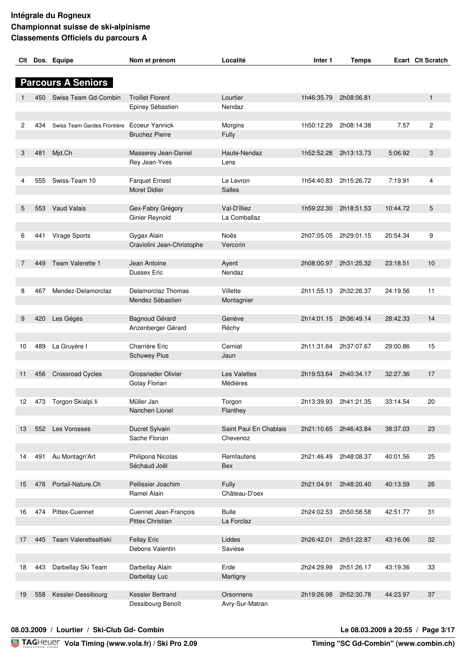|    |     | Clt Dos. Equipe                            | Nom et prénom                       | Localité               | Inter <sub>1</sub> | <b>Temps</b>          |          | Ecart Clt Scratch |
|----|-----|--------------------------------------------|-------------------------------------|------------------------|--------------------|-----------------------|----------|-------------------|
|    |     |                                            |                                     |                        |                    |                       |          |                   |
|    |     | <b>Parcours A Seniors</b>                  |                                     |                        |                    |                       |          |                   |
|    |     |                                            |                                     |                        |                    |                       |          |                   |
|    | 450 | Swiss Team Gd-Combin                       | <b>Troillet Florent</b>             | Lourtier               | 1h46:35.79         | 2h08:06.81            |          | 1                 |
|    |     |                                            | Epiney Sébastien                    | Nendaz                 |                    |                       |          |                   |
|    |     |                                            |                                     |                        |                    |                       |          |                   |
| 2  | 434 | Swiss Team Gardes Frontière Ecoeur Yannick |                                     | Morgins                | 1h50:12.29         | 2h08:14.38            | 7.57     | $\overline{c}$    |
|    |     |                                            | <b>Bruchez Pierre</b>               | Fully                  |                    |                       |          |                   |
|    |     |                                            |                                     |                        |                    |                       |          |                   |
| 3  | 481 | Mjd.Ch                                     | Masserey Jean-Daniel                | Haute-Nendaz           | 1h52:52.28         | 2h13:13.73            | 5:06.92  | 3                 |
|    |     |                                            | Rey Jean-Yves                       | Lens                   |                    |                       |          |                   |
|    |     |                                            |                                     |                        |                    |                       |          |                   |
| 4  | 555 | Swiss-Team 10                              | <b>Farquet Ernest</b>               | Le Levron              | 1h54:40.83         | 2h15:26.72            | 7:19.91  | 4                 |
|    |     |                                            | Moret Didier                        | Salles                 |                    |                       |          |                   |
| 5  | 553 | Vaud Valais                                |                                     | Val-D'illiez           | 1h59:22.30         | 2h18:51.53            | 10:44.72 | 5                 |
|    |     |                                            | Gex-Fabry Grégory<br>Ginier Reynold | La Comballaz           |                    |                       |          |                   |
|    |     |                                            |                                     |                        |                    |                       |          |                   |
| 6  | 441 | Virage Sports                              | Gygax Alain                         | Noës                   | 2h07:05.05         | 2h29:01.15            | 20:54.34 | 9                 |
|    |     |                                            | Craviolini Jean-Christophe          | Vercorin               |                    |                       |          |                   |
|    |     |                                            |                                     |                        |                    |                       |          |                   |
| 7  | 449 | Team Valerette 1                           | Jean Antoine                        | Ayent                  | 2h08:00.97         | 2h31:25.32            | 23:18.51 | 10                |
|    |     |                                            | Dussex Eric                         | Nendaz                 |                    |                       |          |                   |
|    |     |                                            |                                     |                        |                    |                       |          |                   |
| 8  | 467 | Mendez-Delamorclaz                         | Delamorclaz Thomas                  | Villette               | 2h11:55.13         | 2h32:26.37            | 24:19.56 | 11                |
|    |     |                                            | Mendez Sébastien                    | Montagnier             |                    |                       |          |                   |
|    |     |                                            |                                     |                        |                    |                       |          |                   |
| 9  | 420 | Les Gégés                                  | Bagnoud Gérard                      | Genève                 | 2h14:01.15         | 2h36:49.14            | 28:42.33 | 14                |
|    |     |                                            | Anzenberger Gérard                  | Réchy                  |                    |                       |          |                   |
|    |     |                                            |                                     |                        |                    |                       |          |                   |
| 10 | 489 | La Gruyère I                               | Charrière Eric                      | Cerniat                | 2h11:31.64         | 2h37:07.67            | 29:00.86 | 15                |
|    |     |                                            | <b>Schuwey Pius</b>                 | Jaun                   |                    |                       |          |                   |
|    |     |                                            |                                     |                        |                    |                       |          |                   |
| 11 | 456 | <b>Crossroad Cycles</b>                    | <b>Grossrieder Olivier</b>          | Les Valettes           | 2h19:53.64         | 2h40:34.17            | 32:27.36 | 17                |
|    |     |                                            | Golay Florian                       | Médières               |                    |                       |          |                   |
|    |     |                                            |                                     |                        |                    |                       |          |                   |
| 12 | 473 | Torgon Skialpi li                          | Müller Jan                          | Torgon                 |                    | 2h13:39.93 2h41:21.35 | 33:14.54 | 20                |
|    |     |                                            | Nanchen Lionel                      | Flanthey               |                    |                       |          |                   |
|    |     |                                            |                                     |                        |                    |                       |          |                   |
| 13 | 552 | Les Vorosses                               | Ducret Sylvain                      | Saint Paul En Chablais | 2h21:10.65         | 2h46:43.84            | 38:37.03 | 23                |
|    |     |                                            | Sache Florian                       | Chevenoz               |                    |                       |          |                   |
|    |     |                                            |                                     |                        |                    |                       |          |                   |
| 14 | 491 | Au Montagn'Art                             | Philipona Nicolas                   | Remfaufens             | 2h21:46.49         | 2h48:08.37            | 40:01.56 | 25                |
|    |     |                                            | Séchaud Joël                        | <b>Bex</b>             |                    |                       |          |                   |
|    | 476 | Portail-Nature.Ch                          | Pellissier Joachim                  |                        |                    |                       |          | 26                |
| 15 |     |                                            | Ramel Alain                         | Fully<br>Château-D'oex | 2h21:04.91         | 2h48:20.40            | 40:13.59 |                   |
|    |     |                                            |                                     |                        |                    |                       |          |                   |
| 16 | 474 | Pittex-Cuennet                             | Cuennet Jean-François               | <b>Bulle</b>           | 2h24:02.53         | 2h50:58.58            | 42:51.77 | 31                |
|    |     |                                            | Pittex Christian                    | La Forclaz             |                    |                       |          |                   |
|    |     |                                            |                                     |                        |                    |                       |          |                   |
| 17 | 445 | Team Valerettealtiski                      | <b>Fellay Eric</b>                  | Liddes                 | 2h26:42.01         | 2h51:22.87            | 43:16.06 | 32                |
|    |     |                                            | Debons Valentin                     | Savièse                |                    |                       |          |                   |
|    |     |                                            |                                     |                        |                    |                       |          |                   |
| 18 | 443 | Darbellay Ski Team                         | Darbellay Alain                     | Erde                   | 2h24:29.99         | 2h51:26.17            | 43:19.36 | 33                |
|    |     |                                            | Darbellay Luc                       | Martigny               |                    |                       |          |                   |
|    |     |                                            |                                     |                        |                    |                       |          |                   |
| 19 | 558 | Kessler-Dessibourg                         | Kessler Bertrand                    | Orsonnens              | 2h19:26.98         | 2h52:30.78            | 44:23.97 | 37                |
|    |     |                                            | Dessibourg Benoît                   | Avry-Sur-Matran        |                    |                       |          |                   |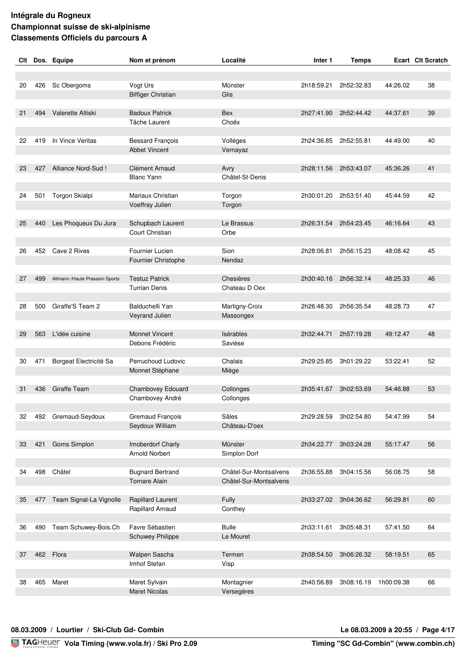| Clt |     | Dos. Equipe                    | Nom et prénom                                 | Localité               | Inter 1    | <b>Temps</b> |            | Ecart Clt Scratch |
|-----|-----|--------------------------------|-----------------------------------------------|------------------------|------------|--------------|------------|-------------------|
|     |     |                                |                                               |                        |            |              |            |                   |
|     |     |                                |                                               |                        |            |              |            |                   |
| 20  | 426 | Sc Obergoms                    | Vogt Urs                                      | Münster                | 2h18:59.21 | 2h52:32.83   | 44:26.02   | 38                |
|     |     |                                | <b>Biffiger Christian</b>                     | Glis                   |            |              |            |                   |
| 21  | 494 | Valerette Altiski              | <b>Badoux Patrick</b>                         | <b>Bex</b>             | 2h27:41.90 | 2h52:44.42   | 44:37.61   | 39                |
|     |     |                                | Tâche Laurent                                 | Choëx                  |            |              |            |                   |
|     |     |                                |                                               |                        |            |              |            |                   |
| 22  | 419 | In Vince Veritas               | <b>Bessard François</b>                       | Vollèges               | 2h24:36.85 | 2h52:55.81   | 44:49.00   | 40                |
|     |     |                                | <b>Abbet Vincent</b>                          | Vernayaz               |            |              |            |                   |
|     |     |                                |                                               |                        |            |              |            |                   |
| 23  | 427 | Alliance Nord-Sud!             | Clément Arnaud                                | Avry                   | 2h28:11.56 | 2h53:43.07   | 45:36.26   | 41                |
|     |     |                                | <b>Blanc Yann</b>                             | Châtel-St-Denis        |            |              |            |                   |
|     |     |                                |                                               |                        |            |              |            |                   |
| 24  | 501 | Torgon Skialpi                 | Mariaux Christian                             | Torgon                 | 2h30:01.20 | 2h53:51.40   | 45:44.59   | 42                |
|     |     |                                | Voeffray Julien                               | Torgon                 |            |              |            |                   |
|     |     |                                |                                               |                        |            |              |            |                   |
| 25  | 440 | Les Phoqueux Du Jura           | Schupbach Laurent                             | Le Brassus             | 2h26:31.54 | 2h54:23.45   | 46:16.64   | 43                |
|     |     |                                | Court Christian                               | Orbe                   |            |              |            |                   |
|     |     |                                |                                               |                        |            |              |            |                   |
| 26  | 452 | Cave 2 Rives                   | Fournier Lucien                               | Sion                   | 2h28:06.81 | 2h56:15.23   | 48:08.42   | 45                |
|     |     |                                | Fournier Christophe                           | Nendaz                 |            |              |            |                   |
|     |     |                                |                                               | Chesières              |            |              |            | 46                |
| 27  | 499 | Altmann /Haute Pression Sports | <b>Testuz Patrick</b><br><b>Turrian Denis</b> | Chateau D Oex          | 2h30:40.16 | 2h56:32.14   | 48:25.33   |                   |
|     |     |                                |                                               |                        |            |              |            |                   |
| 28  | 500 | Giraffe'S Team 2               | <b>Balduchelli Yan</b>                        | Martigny-Croix         | 2h26:48.30 | 2h56:35.54   | 48:28.73   | 47                |
|     |     |                                | Veyrand Julien                                | Massongex              |            |              |            |                   |
|     |     |                                |                                               |                        |            |              |            |                   |
| 29  | 563 | L'idée cuisine                 | <b>Monnet Vincent</b>                         | <b>Isérables</b>       | 2h32:44.71 | 2h57:19.28   | 49:12.47   | 48                |
|     |     |                                | Debons Frédéric                               | Savièse                |            |              |            |                   |
|     |     |                                |                                               |                        |            |              |            |                   |
| 30  | 471 | Borgeat Electricité Sa         | Perruchoud Ludovic                            | Chalais                | 2h29:25.85 | 3h01:29.22   | 53:22.41   | 52                |
|     |     |                                | Monnet Stéphane                               | Miège                  |            |              |            |                   |
|     |     |                                |                                               |                        |            |              |            |                   |
| 31  | 436 | <b>Giraffe Team</b>            | Chambovey Edouard                             | Collonges              | 2h35:41.67 | 3h02:53.69   | 54:46.88   | 53                |
|     |     |                                | Chambovey André                               | Collonges              |            |              |            |                   |
|     |     |                                |                                               |                        |            |              |            |                   |
| 32  |     | 492 Gremaud-Seydoux            | Gremaud François                              | Sâles                  | 2h29:28.59 | 3h02:54.80   | 54:47.99   | 54                |
|     |     |                                | Seydoux William                               | Château-D'oex          |            |              |            |                   |
|     |     | Goms Simplon                   | Imoberdorf Charly                             | Münster                | 2h34:22.77 | 3h03:24.28   | 55:17.47   | 56                |
| 33  | 421 |                                | <b>Arnold Norbert</b>                         | Simplon Dorf           |            |              |            |                   |
|     |     |                                |                                               |                        |            |              |            |                   |
| 34  | 498 | Châtel                         | <b>Bugnard Bertrand</b>                       | Châtel-Sur-Montsalvens | 2h36:55.88 | 3h04:15.56   | 56:08.75   | 58                |
|     |     |                                | <b>Tornare Alain</b>                          | Châtel-Sur-Montsalvens |            |              |            |                   |
|     |     |                                |                                               |                        |            |              |            |                   |
| 35  | 477 | Team Signal-La Vignolle        | Rapillard Laurent                             | Fully                  | 2h33:27.02 | 3h04:36.62   | 56:29.81   | 60                |
|     |     |                                | Rapillard Arnaud                              | Conthey                |            |              |            |                   |
|     |     |                                |                                               |                        |            |              |            |                   |
| 36  | 490 | Team Schuwey-Bois.Ch           | Favre Sébastien                               | <b>Bulle</b>           | 2h33:11.61 | 3h05:48.31   | 57:41.50   | 64                |
|     |     |                                | <b>Schuwey Philippe</b>                       | Le Mouret              |            |              |            |                   |
|     |     |                                |                                               |                        |            |              |            |                   |
| 37  | 462 | Flora                          | Walpen Sascha                                 | Termen                 | 2h38:54.50 | 3h06:26.32   | 58:19.51   | 65                |
|     |     |                                | Imhof Stefan                                  | Visp                   |            |              |            |                   |
|     |     |                                |                                               |                        |            |              |            |                   |
| 38  | 465 | Maret                          | Maret Sylvain                                 | Montagnier             | 2h40:56.89 | 3h08:16.19   | 1h00:09.38 | 66                |
|     |     |                                | <b>Maret Nicolas</b>                          | Versegères             |            |              |            |                   |
|     |     |                                |                                               |                        |            |              |            |                   |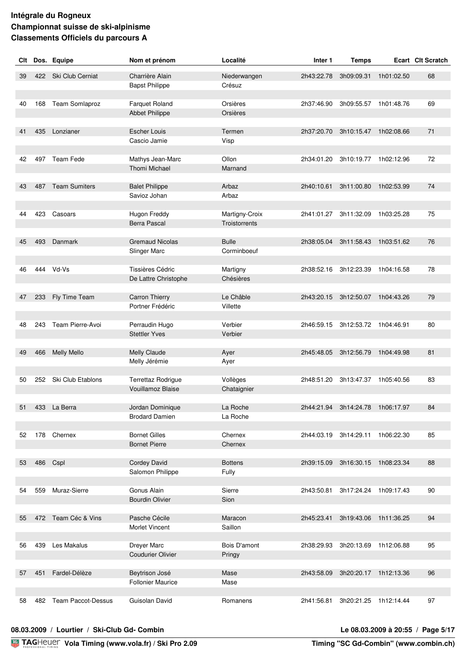| Ski Club Cerniat<br>Charrière Alain<br>422<br>68<br>39<br>Niederwangen<br>2h43:22.78<br>3h09:09.31<br>1h01:02.50<br><b>Bapst Philippe</b><br>Crésuz<br>Team Somlaproz<br>69<br><b>Farquet Roland</b><br>Orsières<br>2h37:46.90<br>3h09:55.57 1h01:48.76<br>40<br>168<br><b>Abbet Philippe</b><br>Orsières<br>435 Lonzianer<br><b>Escher Louis</b><br>Termen<br>2h37:20.70<br>3h10:15.47<br>1h02:08.66<br>71<br>41<br>Cascio Jamie<br>Visp<br>72<br><b>Team Fede</b><br>Mathys Jean-Marc<br>Ollon<br>3h10:19.77<br>1h02:12.96<br>497<br>2h34:01.20<br>42<br><b>Thomi Michael</b><br>Marnand<br>487 Team Sumiters<br><b>Balet Philippe</b><br>Arbaz<br>2h40:10.61<br>3h11:00.80<br>1h02:53.99<br>74<br>43<br>Savioz Johan<br>Arbaz<br>423 Casoars<br>2h41:01.27 3h11:32.09<br>75<br>Hugon Freddy<br>Martigny-Croix<br>1h03:25.28<br>44<br><b>Berra Pascal</b><br>Troistorrents<br>493 Danmark<br><b>Gremaud Nicolas</b><br><b>Bulle</b><br>2h38:05.04 3h11:58.43<br>1h03:51.62<br>76<br>45<br>Slinger Marc<br>Corminboeuf<br>444 Vd-Vs<br>Tissières Cédric<br>3h12:23.39<br>78<br>Martigny<br>2h38:52.16<br>1h04:16.58<br>46<br>Chésières<br>De Lattre Christophe<br>Le Châble<br>Fly Time Team<br><b>Carron Thierry</b><br>2h43:20.15 3h12:50.07<br>1h04:43.26<br>79<br>47<br>233<br>Portner Frédéric<br>Villette<br>Team Pierre-Avoi<br>Verbier<br>2h46:59.15 3h12:53.72 1h04:46.91<br>80<br>Perraudin Hugo<br>48<br>243<br><b>Stettler Yves</b><br>Verbier<br><b>Melly Mello</b><br>Melly Claude<br>Ayer<br>2h45:48.05<br>3h12:56.79<br>1h04:49.98<br>81<br>49<br>466<br>Melly Jérémie<br>Ayer<br>Ski Club Etablons<br>Vollèges<br>3h13:47.37 1h05:40.56<br>83<br>252<br>Terrettaz Rodrigue<br>2h48:51.20<br>50<br>Vouillamoz Blaise<br>Chataignier<br>433 La Berra<br>Jordan Dominique<br>La Roche<br>51<br>2h44:21.94 3h14:24.78 1h06:17.97<br>84<br><b>Brodard Damien</b><br>La Roche<br>178 Chernex<br><b>Bornet Gilles</b><br>85<br>Chernex<br>2h44:03.19 3h14:29.11<br>1h06:22.30<br>52<br><b>Bornet Pierre</b><br>Chernex<br>486 Cspl<br><b>Cordey David</b><br>88<br><b>Bottens</b><br>2h39:15.09 3h16:30.15<br>1h08:23.34<br>53<br>Salomon Philippe<br>Fully<br>Muraz-Sierre<br>Gonus Alain<br>559<br>Sierre<br>90<br>2h43:50.81<br>3h17:24.24 1h09:17.43<br>54<br><b>Bourdin Olivier</b><br>Sion<br>Team Céc & Vins<br>Pasche Cécile<br>94<br>472<br>Maracon<br>2h45:23.41<br>3h19:43.06<br>1h11:36.25<br>55 | Clt | Dos. Equipe | Nom et prénom  | Localité | Inter <sub>1</sub> | <b>Temps</b> | Ecart Clt Scratch |
|-------------------------------------------------------------------------------------------------------------------------------------------------------------------------------------------------------------------------------------------------------------------------------------------------------------------------------------------------------------------------------------------------------------------------------------------------------------------------------------------------------------------------------------------------------------------------------------------------------------------------------------------------------------------------------------------------------------------------------------------------------------------------------------------------------------------------------------------------------------------------------------------------------------------------------------------------------------------------------------------------------------------------------------------------------------------------------------------------------------------------------------------------------------------------------------------------------------------------------------------------------------------------------------------------------------------------------------------------------------------------------------------------------------------------------------------------------------------------------------------------------------------------------------------------------------------------------------------------------------------------------------------------------------------------------------------------------------------------------------------------------------------------------------------------------------------------------------------------------------------------------------------------------------------------------------------------------------------------------------------------------------------------------------------------------------------------------------------------------------------------------------------------------------------------------------------------------------------------------------------------------------------------------------------------------------------------------------------------------------------------------------------------------------------------|-----|-------------|----------------|----------|--------------------|--------------|-------------------|
|                                                                                                                                                                                                                                                                                                                                                                                                                                                                                                                                                                                                                                                                                                                                                                                                                                                                                                                                                                                                                                                                                                                                                                                                                                                                                                                                                                                                                                                                                                                                                                                                                                                                                                                                                                                                                                                                                                                                                                                                                                                                                                                                                                                                                                                                                                                                                                                                                         |     |             |                |          |                    |              |                   |
|                                                                                                                                                                                                                                                                                                                                                                                                                                                                                                                                                                                                                                                                                                                                                                                                                                                                                                                                                                                                                                                                                                                                                                                                                                                                                                                                                                                                                                                                                                                                                                                                                                                                                                                                                                                                                                                                                                                                                                                                                                                                                                                                                                                                                                                                                                                                                                                                                         |     |             |                |          |                    |              |                   |
|                                                                                                                                                                                                                                                                                                                                                                                                                                                                                                                                                                                                                                                                                                                                                                                                                                                                                                                                                                                                                                                                                                                                                                                                                                                                                                                                                                                                                                                                                                                                                                                                                                                                                                                                                                                                                                                                                                                                                                                                                                                                                                                                                                                                                                                                                                                                                                                                                         |     |             |                |          |                    |              |                   |
|                                                                                                                                                                                                                                                                                                                                                                                                                                                                                                                                                                                                                                                                                                                                                                                                                                                                                                                                                                                                                                                                                                                                                                                                                                                                                                                                                                                                                                                                                                                                                                                                                                                                                                                                                                                                                                                                                                                                                                                                                                                                                                                                                                                                                                                                                                                                                                                                                         |     |             |                |          |                    |              |                   |
|                                                                                                                                                                                                                                                                                                                                                                                                                                                                                                                                                                                                                                                                                                                                                                                                                                                                                                                                                                                                                                                                                                                                                                                                                                                                                                                                                                                                                                                                                                                                                                                                                                                                                                                                                                                                                                                                                                                                                                                                                                                                                                                                                                                                                                                                                                                                                                                                                         |     |             |                |          |                    |              |                   |
|                                                                                                                                                                                                                                                                                                                                                                                                                                                                                                                                                                                                                                                                                                                                                                                                                                                                                                                                                                                                                                                                                                                                                                                                                                                                                                                                                                                                                                                                                                                                                                                                                                                                                                                                                                                                                                                                                                                                                                                                                                                                                                                                                                                                                                                                                                                                                                                                                         |     |             |                |          |                    |              |                   |
|                                                                                                                                                                                                                                                                                                                                                                                                                                                                                                                                                                                                                                                                                                                                                                                                                                                                                                                                                                                                                                                                                                                                                                                                                                                                                                                                                                                                                                                                                                                                                                                                                                                                                                                                                                                                                                                                                                                                                                                                                                                                                                                                                                                                                                                                                                                                                                                                                         |     |             |                |          |                    |              |                   |
|                                                                                                                                                                                                                                                                                                                                                                                                                                                                                                                                                                                                                                                                                                                                                                                                                                                                                                                                                                                                                                                                                                                                                                                                                                                                                                                                                                                                                                                                                                                                                                                                                                                                                                                                                                                                                                                                                                                                                                                                                                                                                                                                                                                                                                                                                                                                                                                                                         |     |             |                |          |                    |              |                   |
|                                                                                                                                                                                                                                                                                                                                                                                                                                                                                                                                                                                                                                                                                                                                                                                                                                                                                                                                                                                                                                                                                                                                                                                                                                                                                                                                                                                                                                                                                                                                                                                                                                                                                                                                                                                                                                                                                                                                                                                                                                                                                                                                                                                                                                                                                                                                                                                                                         |     |             |                |          |                    |              |                   |
|                                                                                                                                                                                                                                                                                                                                                                                                                                                                                                                                                                                                                                                                                                                                                                                                                                                                                                                                                                                                                                                                                                                                                                                                                                                                                                                                                                                                                                                                                                                                                                                                                                                                                                                                                                                                                                                                                                                                                                                                                                                                                                                                                                                                                                                                                                                                                                                                                         |     |             |                |          |                    |              |                   |
|                                                                                                                                                                                                                                                                                                                                                                                                                                                                                                                                                                                                                                                                                                                                                                                                                                                                                                                                                                                                                                                                                                                                                                                                                                                                                                                                                                                                                                                                                                                                                                                                                                                                                                                                                                                                                                                                                                                                                                                                                                                                                                                                                                                                                                                                                                                                                                                                                         |     |             |                |          |                    |              |                   |
|                                                                                                                                                                                                                                                                                                                                                                                                                                                                                                                                                                                                                                                                                                                                                                                                                                                                                                                                                                                                                                                                                                                                                                                                                                                                                                                                                                                                                                                                                                                                                                                                                                                                                                                                                                                                                                                                                                                                                                                                                                                                                                                                                                                                                                                                                                                                                                                                                         |     |             |                |          |                    |              |                   |
|                                                                                                                                                                                                                                                                                                                                                                                                                                                                                                                                                                                                                                                                                                                                                                                                                                                                                                                                                                                                                                                                                                                                                                                                                                                                                                                                                                                                                                                                                                                                                                                                                                                                                                                                                                                                                                                                                                                                                                                                                                                                                                                                                                                                                                                                                                                                                                                                                         |     |             |                |          |                    |              |                   |
|                                                                                                                                                                                                                                                                                                                                                                                                                                                                                                                                                                                                                                                                                                                                                                                                                                                                                                                                                                                                                                                                                                                                                                                                                                                                                                                                                                                                                                                                                                                                                                                                                                                                                                                                                                                                                                                                                                                                                                                                                                                                                                                                                                                                                                                                                                                                                                                                                         |     |             |                |          |                    |              |                   |
|                                                                                                                                                                                                                                                                                                                                                                                                                                                                                                                                                                                                                                                                                                                                                                                                                                                                                                                                                                                                                                                                                                                                                                                                                                                                                                                                                                                                                                                                                                                                                                                                                                                                                                                                                                                                                                                                                                                                                                                                                                                                                                                                                                                                                                                                                                                                                                                                                         |     |             |                |          |                    |              |                   |
|                                                                                                                                                                                                                                                                                                                                                                                                                                                                                                                                                                                                                                                                                                                                                                                                                                                                                                                                                                                                                                                                                                                                                                                                                                                                                                                                                                                                                                                                                                                                                                                                                                                                                                                                                                                                                                                                                                                                                                                                                                                                                                                                                                                                                                                                                                                                                                                                                         |     |             |                |          |                    |              |                   |
|                                                                                                                                                                                                                                                                                                                                                                                                                                                                                                                                                                                                                                                                                                                                                                                                                                                                                                                                                                                                                                                                                                                                                                                                                                                                                                                                                                                                                                                                                                                                                                                                                                                                                                                                                                                                                                                                                                                                                                                                                                                                                                                                                                                                                                                                                                                                                                                                                         |     |             |                |          |                    |              |                   |
|                                                                                                                                                                                                                                                                                                                                                                                                                                                                                                                                                                                                                                                                                                                                                                                                                                                                                                                                                                                                                                                                                                                                                                                                                                                                                                                                                                                                                                                                                                                                                                                                                                                                                                                                                                                                                                                                                                                                                                                                                                                                                                                                                                                                                                                                                                                                                                                                                         |     |             |                |          |                    |              |                   |
|                                                                                                                                                                                                                                                                                                                                                                                                                                                                                                                                                                                                                                                                                                                                                                                                                                                                                                                                                                                                                                                                                                                                                                                                                                                                                                                                                                                                                                                                                                                                                                                                                                                                                                                                                                                                                                                                                                                                                                                                                                                                                                                                                                                                                                                                                                                                                                                                                         |     |             |                |          |                    |              |                   |
|                                                                                                                                                                                                                                                                                                                                                                                                                                                                                                                                                                                                                                                                                                                                                                                                                                                                                                                                                                                                                                                                                                                                                                                                                                                                                                                                                                                                                                                                                                                                                                                                                                                                                                                                                                                                                                                                                                                                                                                                                                                                                                                                                                                                                                                                                                                                                                                                                         |     |             |                |          |                    |              |                   |
|                                                                                                                                                                                                                                                                                                                                                                                                                                                                                                                                                                                                                                                                                                                                                                                                                                                                                                                                                                                                                                                                                                                                                                                                                                                                                                                                                                                                                                                                                                                                                                                                                                                                                                                                                                                                                                                                                                                                                                                                                                                                                                                                                                                                                                                                                                                                                                                                                         |     |             |                |          |                    |              |                   |
|                                                                                                                                                                                                                                                                                                                                                                                                                                                                                                                                                                                                                                                                                                                                                                                                                                                                                                                                                                                                                                                                                                                                                                                                                                                                                                                                                                                                                                                                                                                                                                                                                                                                                                                                                                                                                                                                                                                                                                                                                                                                                                                                                                                                                                                                                                                                                                                                                         |     |             |                |          |                    |              |                   |
|                                                                                                                                                                                                                                                                                                                                                                                                                                                                                                                                                                                                                                                                                                                                                                                                                                                                                                                                                                                                                                                                                                                                                                                                                                                                                                                                                                                                                                                                                                                                                                                                                                                                                                                                                                                                                                                                                                                                                                                                                                                                                                                                                                                                                                                                                                                                                                                                                         |     |             |                |          |                    |              |                   |
|                                                                                                                                                                                                                                                                                                                                                                                                                                                                                                                                                                                                                                                                                                                                                                                                                                                                                                                                                                                                                                                                                                                                                                                                                                                                                                                                                                                                                                                                                                                                                                                                                                                                                                                                                                                                                                                                                                                                                                                                                                                                                                                                                                                                                                                                                                                                                                                                                         |     |             |                |          |                    |              |                   |
|                                                                                                                                                                                                                                                                                                                                                                                                                                                                                                                                                                                                                                                                                                                                                                                                                                                                                                                                                                                                                                                                                                                                                                                                                                                                                                                                                                                                                                                                                                                                                                                                                                                                                                                                                                                                                                                                                                                                                                                                                                                                                                                                                                                                                                                                                                                                                                                                                         |     |             |                |          |                    |              |                   |
|                                                                                                                                                                                                                                                                                                                                                                                                                                                                                                                                                                                                                                                                                                                                                                                                                                                                                                                                                                                                                                                                                                                                                                                                                                                                                                                                                                                                                                                                                                                                                                                                                                                                                                                                                                                                                                                                                                                                                                                                                                                                                                                                                                                                                                                                                                                                                                                                                         |     |             |                |          |                    |              |                   |
|                                                                                                                                                                                                                                                                                                                                                                                                                                                                                                                                                                                                                                                                                                                                                                                                                                                                                                                                                                                                                                                                                                                                                                                                                                                                                                                                                                                                                                                                                                                                                                                                                                                                                                                                                                                                                                                                                                                                                                                                                                                                                                                                                                                                                                                                                                                                                                                                                         |     |             |                |          |                    |              |                   |
|                                                                                                                                                                                                                                                                                                                                                                                                                                                                                                                                                                                                                                                                                                                                                                                                                                                                                                                                                                                                                                                                                                                                                                                                                                                                                                                                                                                                                                                                                                                                                                                                                                                                                                                                                                                                                                                                                                                                                                                                                                                                                                                                                                                                                                                                                                                                                                                                                         |     |             |                |          |                    |              |                   |
|                                                                                                                                                                                                                                                                                                                                                                                                                                                                                                                                                                                                                                                                                                                                                                                                                                                                                                                                                                                                                                                                                                                                                                                                                                                                                                                                                                                                                                                                                                                                                                                                                                                                                                                                                                                                                                                                                                                                                                                                                                                                                                                                                                                                                                                                                                                                                                                                                         |     |             |                |          |                    |              |                   |
|                                                                                                                                                                                                                                                                                                                                                                                                                                                                                                                                                                                                                                                                                                                                                                                                                                                                                                                                                                                                                                                                                                                                                                                                                                                                                                                                                                                                                                                                                                                                                                                                                                                                                                                                                                                                                                                                                                                                                                                                                                                                                                                                                                                                                                                                                                                                                                                                                         |     |             |                |          |                    |              |                   |
|                                                                                                                                                                                                                                                                                                                                                                                                                                                                                                                                                                                                                                                                                                                                                                                                                                                                                                                                                                                                                                                                                                                                                                                                                                                                                                                                                                                                                                                                                                                                                                                                                                                                                                                                                                                                                                                                                                                                                                                                                                                                                                                                                                                                                                                                                                                                                                                                                         |     |             |                |          |                    |              |                   |
|                                                                                                                                                                                                                                                                                                                                                                                                                                                                                                                                                                                                                                                                                                                                                                                                                                                                                                                                                                                                                                                                                                                                                                                                                                                                                                                                                                                                                                                                                                                                                                                                                                                                                                                                                                                                                                                                                                                                                                                                                                                                                                                                                                                                                                                                                                                                                                                                                         |     |             |                |          |                    |              |                   |
|                                                                                                                                                                                                                                                                                                                                                                                                                                                                                                                                                                                                                                                                                                                                                                                                                                                                                                                                                                                                                                                                                                                                                                                                                                                                                                                                                                                                                                                                                                                                                                                                                                                                                                                                                                                                                                                                                                                                                                                                                                                                                                                                                                                                                                                                                                                                                                                                                         |     |             |                |          |                    |              |                   |
|                                                                                                                                                                                                                                                                                                                                                                                                                                                                                                                                                                                                                                                                                                                                                                                                                                                                                                                                                                                                                                                                                                                                                                                                                                                                                                                                                                                                                                                                                                                                                                                                                                                                                                                                                                                                                                                                                                                                                                                                                                                                                                                                                                                                                                                                                                                                                                                                                         |     |             |                |          |                    |              |                   |
|                                                                                                                                                                                                                                                                                                                                                                                                                                                                                                                                                                                                                                                                                                                                                                                                                                                                                                                                                                                                                                                                                                                                                                                                                                                                                                                                                                                                                                                                                                                                                                                                                                                                                                                                                                                                                                                                                                                                                                                                                                                                                                                                                                                                                                                                                                                                                                                                                         |     |             |                |          |                    |              |                   |
|                                                                                                                                                                                                                                                                                                                                                                                                                                                                                                                                                                                                                                                                                                                                                                                                                                                                                                                                                                                                                                                                                                                                                                                                                                                                                                                                                                                                                                                                                                                                                                                                                                                                                                                                                                                                                                                                                                                                                                                                                                                                                                                                                                                                                                                                                                                                                                                                                         |     |             |                |          |                    |              |                   |
|                                                                                                                                                                                                                                                                                                                                                                                                                                                                                                                                                                                                                                                                                                                                                                                                                                                                                                                                                                                                                                                                                                                                                                                                                                                                                                                                                                                                                                                                                                                                                                                                                                                                                                                                                                                                                                                                                                                                                                                                                                                                                                                                                                                                                                                                                                                                                                                                                         |     |             |                |          |                    |              |                   |
|                                                                                                                                                                                                                                                                                                                                                                                                                                                                                                                                                                                                                                                                                                                                                                                                                                                                                                                                                                                                                                                                                                                                                                                                                                                                                                                                                                                                                                                                                                                                                                                                                                                                                                                                                                                                                                                                                                                                                                                                                                                                                                                                                                                                                                                                                                                                                                                                                         |     |             |                |          |                    |              |                   |
|                                                                                                                                                                                                                                                                                                                                                                                                                                                                                                                                                                                                                                                                                                                                                                                                                                                                                                                                                                                                                                                                                                                                                                                                                                                                                                                                                                                                                                                                                                                                                                                                                                                                                                                                                                                                                                                                                                                                                                                                                                                                                                                                                                                                                                                                                                                                                                                                                         |     |             |                |          |                    |              |                   |
|                                                                                                                                                                                                                                                                                                                                                                                                                                                                                                                                                                                                                                                                                                                                                                                                                                                                                                                                                                                                                                                                                                                                                                                                                                                                                                                                                                                                                                                                                                                                                                                                                                                                                                                                                                                                                                                                                                                                                                                                                                                                                                                                                                                                                                                                                                                                                                                                                         |     |             |                |          |                    |              |                   |
|                                                                                                                                                                                                                                                                                                                                                                                                                                                                                                                                                                                                                                                                                                                                                                                                                                                                                                                                                                                                                                                                                                                                                                                                                                                                                                                                                                                                                                                                                                                                                                                                                                                                                                                                                                                                                                                                                                                                                                                                                                                                                                                                                                                                                                                                                                                                                                                                                         |     |             |                |          |                    |              |                   |
|                                                                                                                                                                                                                                                                                                                                                                                                                                                                                                                                                                                                                                                                                                                                                                                                                                                                                                                                                                                                                                                                                                                                                                                                                                                                                                                                                                                                                                                                                                                                                                                                                                                                                                                                                                                                                                                                                                                                                                                                                                                                                                                                                                                                                                                                                                                                                                                                                         |     |             |                |          |                    |              |                   |
|                                                                                                                                                                                                                                                                                                                                                                                                                                                                                                                                                                                                                                                                                                                                                                                                                                                                                                                                                                                                                                                                                                                                                                                                                                                                                                                                                                                                                                                                                                                                                                                                                                                                                                                                                                                                                                                                                                                                                                                                                                                                                                                                                                                                                                                                                                                                                                                                                         |     |             |                |          |                    |              |                   |
|                                                                                                                                                                                                                                                                                                                                                                                                                                                                                                                                                                                                                                                                                                                                                                                                                                                                                                                                                                                                                                                                                                                                                                                                                                                                                                                                                                                                                                                                                                                                                                                                                                                                                                                                                                                                                                                                                                                                                                                                                                                                                                                                                                                                                                                                                                                                                                                                                         |     |             |                |          |                    |              |                   |
|                                                                                                                                                                                                                                                                                                                                                                                                                                                                                                                                                                                                                                                                                                                                                                                                                                                                                                                                                                                                                                                                                                                                                                                                                                                                                                                                                                                                                                                                                                                                                                                                                                                                                                                                                                                                                                                                                                                                                                                                                                                                                                                                                                                                                                                                                                                                                                                                                         |     |             | Morlet Vincent | Saillon  |                    |              |                   |
|                                                                                                                                                                                                                                                                                                                                                                                                                                                                                                                                                                                                                                                                                                                                                                                                                                                                                                                                                                                                                                                                                                                                                                                                                                                                                                                                                                                                                                                                                                                                                                                                                                                                                                                                                                                                                                                                                                                                                                                                                                                                                                                                                                                                                                                                                                                                                                                                                         |     |             |                |          |                    |              |                   |
| Les Makalus<br>Dreyer Marc<br>Bois D'amont<br>95<br>439<br>3h20:13.69<br>1h12:06.88<br>56<br>2h38:29.93                                                                                                                                                                                                                                                                                                                                                                                                                                                                                                                                                                                                                                                                                                                                                                                                                                                                                                                                                                                                                                                                                                                                                                                                                                                                                                                                                                                                                                                                                                                                                                                                                                                                                                                                                                                                                                                                                                                                                                                                                                                                                                                                                                                                                                                                                                                 |     |             |                |          |                    |              |                   |
| <b>Coudurier Olivier</b><br>Pringy                                                                                                                                                                                                                                                                                                                                                                                                                                                                                                                                                                                                                                                                                                                                                                                                                                                                                                                                                                                                                                                                                                                                                                                                                                                                                                                                                                                                                                                                                                                                                                                                                                                                                                                                                                                                                                                                                                                                                                                                                                                                                                                                                                                                                                                                                                                                                                                      |     |             |                |          |                    |              |                   |
| Fardel-Délèze<br>96<br>Beytrison José<br>Mase<br>2h43:58.09<br>3h20:20.17<br>1h12:13.36<br>451<br>57                                                                                                                                                                                                                                                                                                                                                                                                                                                                                                                                                                                                                                                                                                                                                                                                                                                                                                                                                                                                                                                                                                                                                                                                                                                                                                                                                                                                                                                                                                                                                                                                                                                                                                                                                                                                                                                                                                                                                                                                                                                                                                                                                                                                                                                                                                                    |     |             |                |          |                    |              |                   |
| <b>Follonier Maurice</b><br>Mase                                                                                                                                                                                                                                                                                                                                                                                                                                                                                                                                                                                                                                                                                                                                                                                                                                                                                                                                                                                                                                                                                                                                                                                                                                                                                                                                                                                                                                                                                                                                                                                                                                                                                                                                                                                                                                                                                                                                                                                                                                                                                                                                                                                                                                                                                                                                                                                        |     |             |                |          |                    |              |                   |
|                                                                                                                                                                                                                                                                                                                                                                                                                                                                                                                                                                                                                                                                                                                                                                                                                                                                                                                                                                                                                                                                                                                                                                                                                                                                                                                                                                                                                                                                                                                                                                                                                                                                                                                                                                                                                                                                                                                                                                                                                                                                                                                                                                                                                                                                                                                                                                                                                         |     |             |                |          |                    |              |                   |
| <b>Team Paccot-Dessus</b><br>Guisolan David<br>Romanens<br>97<br>482<br>2h41:56.81<br>3h20:21.25 1h12:14.44<br>58                                                                                                                                                                                                                                                                                                                                                                                                                                                                                                                                                                                                                                                                                                                                                                                                                                                                                                                                                                                                                                                                                                                                                                                                                                                                                                                                                                                                                                                                                                                                                                                                                                                                                                                                                                                                                                                                                                                                                                                                                                                                                                                                                                                                                                                                                                       |     |             |                |          |                    |              |                   |

#### **08.03.2009 / Lourtier / Ski-Club Gd- Combin Le 08.03.2009 à 20:55 / Page 5/17**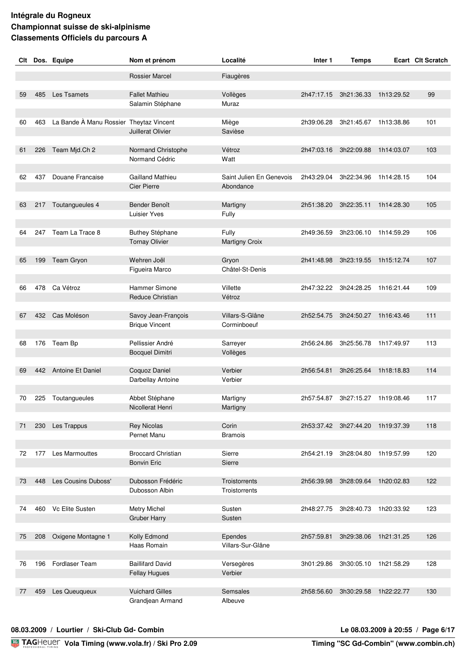| Clt |     | Dos. Equipe                             | Nom et prénom                                   | Localité                              | Inter 1    | <b>Temps</b>                     |            | Ecart Clt Scratch |
|-----|-----|-----------------------------------------|-------------------------------------------------|---------------------------------------|------------|----------------------------------|------------|-------------------|
|     |     |                                         | <b>Rossier Marcel</b>                           | Fiaugères                             |            |                                  |            |                   |
|     |     |                                         |                                                 |                                       |            |                                  |            |                   |
| 59  | 485 | Les Tsamets                             | <b>Fallet Mathieu</b>                           | Vollèges                              | 2h47:17.15 | 3h21:36.33                       | 1h13:29.52 | 99                |
|     |     |                                         | Salamin Stéphane                                | Muraz                                 |            |                                  |            |                   |
| 60  | 463 | La Bande À Manu Rossier Theytaz Vincent |                                                 | Miège                                 | 2h39:06.28 | 3h21:45.67                       | 1h13:38.86 | 101               |
|     |     |                                         | Juillerat Olivier                               | Savièse                               |            |                                  |            |                   |
|     |     |                                         |                                                 |                                       |            |                                  |            |                   |
| 61  | 226 | Team Mjd.Ch 2                           | Normand Christophe                              | Vétroz                                | 2h47:03.16 | 3h22:09.88                       | 1h14:03.07 | 103               |
|     |     |                                         | Normand Cédric                                  | Watt                                  |            |                                  |            |                   |
|     |     |                                         |                                                 |                                       |            |                                  |            |                   |
| 62  | 437 | Douane Francaise                        | <b>Gailland Mathieu</b><br><b>Cier Pierre</b>   | Saint Julien En Genevois<br>Abondance | 2h43:29.04 | 3h22:34.96                       | 1h14:28.15 | 104               |
|     |     |                                         |                                                 |                                       |            |                                  |            |                   |
| 63  |     | 217 Toutangueules 4                     | Bender Benoît                                   | Martigny                              | 2h51:38.20 | 3h22:35.11                       | 1h14:28.30 | 105               |
|     |     |                                         | Luisier Yves                                    | Fully                                 |            |                                  |            |                   |
|     |     |                                         |                                                 |                                       |            |                                  |            |                   |
| 64  |     | 247 Team La Trace 8                     | Buthey Stéphane                                 | Fully                                 | 2h49:36.59 | 3h23:06.10 1h14:59.29            |            | 106               |
|     |     |                                         | <b>Tornay Olivier</b>                           | <b>Martigny Croix</b>                 |            |                                  |            |                   |
| 65  | 199 | Team Gryon                              | Wehren Joël                                     | Gryon                                 | 2h41:48.98 | 3h23:19.55                       | 1h15:12.74 | 107               |
|     |     |                                         | Figueira Marco                                  | Châtel-St-Denis                       |            |                                  |            |                   |
|     |     |                                         |                                                 |                                       |            |                                  |            |                   |
| 66  |     | 478 Ca Vétroz                           | Hammer Simone                                   | Villette                              | 2h47:32.22 | 3h24:28.25                       | 1h16:21.44 | 109               |
|     |     |                                         | Reduce Christian                                | Vétroz                                |            |                                  |            |                   |
|     |     |                                         |                                                 |                                       |            |                                  |            |                   |
| 67  | 432 | Cas Moléson                             | Savoy Jean-François                             | Villars-S-Glâne                       | 2h52:54.75 | 3h24:50.27                       | 1h16:43.46 | 111               |
|     |     |                                         | <b>Brique Vincent</b>                           | Corminboeuf                           |            |                                  |            |                   |
| 68  | 176 | Team Bp                                 | Pellissier André                                | Sarreyer                              | 2h56:24.86 | 3h25:56.78                       | 1h17:49.97 | 113               |
|     |     |                                         | <b>Bocquel Dimitri</b>                          | Vollèges                              |            |                                  |            |                   |
|     |     |                                         |                                                 |                                       |            |                                  |            |                   |
| 69  | 442 | Antoine Et Daniel                       | Coquoz Daniel                                   | Verbier                               | 2h56:54.81 | 3h26:25.64                       | 1h18:18.83 | 114               |
|     |     |                                         | Darbellay Antoine                               | Verbier                               |            |                                  |            |                   |
| 70  | 225 | Toutangueules                           | Abbet Stéphane                                  | Martigny                              | 2h57:54.87 | 3h27:15.27 1h19:08.46            |            | 117               |
|     |     |                                         | Nicollerat Henri                                | Martigny                              |            |                                  |            |                   |
|     |     |                                         |                                                 |                                       |            |                                  |            |                   |
| 71  |     | 230 Les Trappus                         | <b>Rey Nicolas</b>                              | Corin                                 |            | 2h53:37.42 3h27:44.20            | 1h19:37.39 | 118               |
|     |     |                                         | Pernet Manu                                     | <b>Bramois</b>                        |            |                                  |            |                   |
|     |     |                                         |                                                 |                                       |            |                                  |            |                   |
| 72  |     | 177 Les Marmouttes                      | <b>Broccard Christian</b><br><b>Bonvin Eric</b> | Sierre<br>Sierre                      |            | 2h54:21.19 3h28:04.80 1h19:57.99 |            | 120               |
|     |     |                                         |                                                 |                                       |            |                                  |            |                   |
| 73  | 448 | Les Cousins Duboss'                     | Dubosson Frédéric                               | <b>Troistorrents</b>                  | 2h56:39.98 | 3h28:09.64                       | 1h20:02.83 | 122               |
|     |     |                                         | Dubosson Albin                                  | <b>Troistorrents</b>                  |            |                                  |            |                   |
|     |     |                                         |                                                 |                                       |            |                                  |            |                   |
| 74  | 460 | Vc Elite Susten                         | <b>Metry Michel</b>                             | Susten                                | 2h48:27.75 | 3h28:40.73                       | 1h20:33.92 | 123               |
|     |     |                                         | <b>Gruber Harry</b>                             | Susten                                |            |                                  |            |                   |
| 75  | 208 | Oxigene Montagne 1                      | Kolly Edmond                                    | Ependes                               | 2h57:59.81 | 3h29:38.06                       | 1h21:31.25 | 126               |
|     |     |                                         | Haas Romain                                     | Villars-Sur-Glâne                     |            |                                  |            |                   |
|     |     |                                         |                                                 |                                       |            |                                  |            |                   |
| 76  | 196 | Fordlaser Team                          | <b>Baillifard David</b>                         | Versegères                            | 3h01:29.86 | 3h30:05.10 1h21:58.29            |            | 128               |
|     |     |                                         | <b>Fellay Hugues</b>                            | Verbier                               |            |                                  |            |                   |
|     |     |                                         |                                                 |                                       |            |                                  |            |                   |
| 77  | 459 | Les Queuqueux                           | <b>Vuichard Gilles</b><br>Grandjean Armand      | Semsales<br>Albeuve                   | 2h58:56.60 | 3h30:29.58                       | 1h22:22.77 | 130               |
|     |     |                                         |                                                 |                                       |            |                                  |            |                   |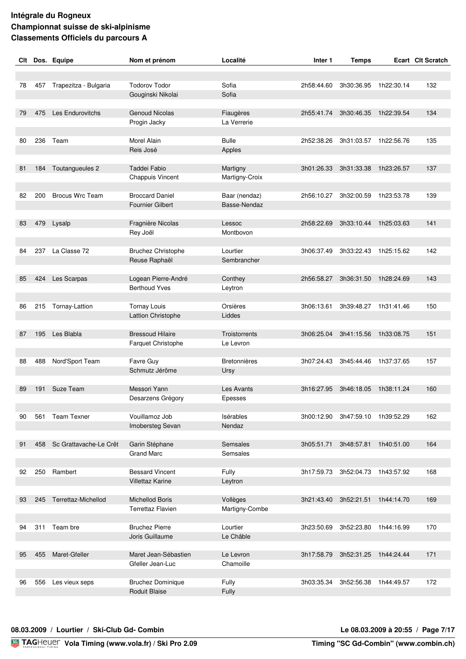| Clt |     | Dos. Equipe                | Nom et prénom                             | Localité            | Inter 1    | <b>Temps</b>                     |                       | <b>Ecart Clt Scratch</b> |
|-----|-----|----------------------------|-------------------------------------------|---------------------|------------|----------------------------------|-----------------------|--------------------------|
|     |     |                            |                                           |                     |            |                                  |                       |                          |
| 78  | 457 | Trapezitza - Bulgaria      | <b>Todorov Todor</b>                      | Sofia               | 2h58:44.60 | 3h30:36.95                       | 1h22:30.14            | 132                      |
|     |     |                            | Gouginski Nikolai                         | Sofia               |            |                                  |                       |                          |
|     |     |                            |                                           |                     |            |                                  |                       |                          |
| 79  | 475 | Les Endurovitchs           | <b>Genoud Nicolas</b>                     | Fiaugères           | 2h55:41.74 | 3h30:46.35                       | 1h22:39.54            | 134                      |
|     |     |                            | Progin Jacky                              | La Verrerie         |            |                                  |                       |                          |
|     |     |                            |                                           |                     |            |                                  |                       |                          |
| 80  | 236 | Team                       | <b>Morel Alain</b>                        | Bulle               | 2h52:38.26 | 3h31:03.57                       | 1h22:56.76            | 135                      |
|     |     |                            | Reis José                                 | Apples              |            |                                  |                       |                          |
|     |     |                            |                                           |                     |            |                                  |                       |                          |
| 81  | 184 | Toutangueules 2            | Taddei Fabio                              | Martigny            | 3h01:26.33 | 3h31:33.38                       | 1h23:26.57            | 137                      |
|     |     |                            | <b>Chappuis Vincent</b>                   | Martigny-Croix      |            |                                  |                       |                          |
| 82  | 200 | <b>Brocus Wrc Team</b>     | <b>Broccard Daniel</b>                    | Baar (nendaz)       | 2h56:10.27 | 3h32:00.59                       | 1h23:53.78            | 139                      |
|     |     |                            | <b>Fournier Gilbert</b>                   | Basse-Nendaz        |            |                                  |                       |                          |
|     |     |                            |                                           |                     |            |                                  |                       |                          |
| 83  | 479 | Lysalp                     | Fragnière Nicolas                         | Lessoc              | 2h58:22.69 | 3h33:10.44 1h25:03.63            |                       | 141                      |
|     |     |                            | Rey Joël                                  | Montbovon           |            |                                  |                       |                          |
|     |     |                            |                                           |                     |            |                                  |                       |                          |
| 84  |     | 237 La Classe 72           | <b>Bruchez Christophe</b>                 | Lourtier            | 3h06:37.49 |                                  | 3h33:22.43 1h25:15.62 | 142                      |
|     |     |                            | Reuse Raphaël                             | Sembrancher         |            |                                  |                       |                          |
|     |     |                            |                                           |                     |            |                                  |                       |                          |
| 85  | 424 | Les Scarpas                | Logean Pierre-André                       | Conthey             | 2h56:58.27 | 3h36:31.50                       | 1h28:24.69            | 143                      |
|     |     |                            | <b>Berthoud Yves</b>                      | Leytron             |            |                                  |                       |                          |
| 86  | 215 | Tornay-Lattion             | <b>Tornay Louis</b>                       | Orsières            | 3h06:13.61 | 3h39:48.27                       | 1h31:41.46            | 150                      |
|     |     |                            | Lattion Christophe                        | Liddes              |            |                                  |                       |                          |
|     |     |                            |                                           |                     |            |                                  |                       |                          |
| 87  | 195 | Les Blabla                 | <b>Bressoud Hilaire</b>                   | Troistorrents       | 3h06:25.04 | 3h41:15.56                       | 1h33:08.75            | 151                      |
|     |     |                            | Farquet Christophe                        | Le Levron           |            |                                  |                       |                          |
|     |     |                            |                                           |                     |            |                                  |                       |                          |
| 88  | 488 | Nord'Sport Team            | Favre Guy                                 | <b>Bretonnières</b> | 3h07:24.43 | 3h45:44.46                       | 1h37:37.65            | 157                      |
|     |     |                            | Schmutz Jérôme                            | Ursy                |            |                                  |                       |                          |
| 89  | 191 | <b>Suze Team</b>           | Messori Yann                              | Les Avants          | 3h16:27.95 | 3h46:18.05                       | 1h38:11.24            | 160                      |
|     |     |                            | Desarzens Grégory                         | Epesses             |            |                                  |                       |                          |
|     |     |                            |                                           |                     |            |                                  |                       |                          |
| 90  | 561 | <b>Team Texner</b>         | Vouillamoz Job                            | Isérables           |            | 3h00:12.90 3h47:59.10 1h39:52.29 |                       | 162                      |
|     |     |                            | Imobersteg Sevan                          | Nendaz              |            |                                  |                       |                          |
|     |     |                            |                                           |                     |            |                                  |                       |                          |
| 91  |     | 458 Sc Grattavache-Le Crêt | Garin Stéphane                            | Semsales            |            | 3h05:51.71 3h48:57.81            | 1h40:51.00            | 164                      |
|     |     |                            | <b>Grand Marc</b>                         | Semsales            |            |                                  |                       |                          |
|     |     |                            |                                           |                     |            |                                  |                       |                          |
| 92  |     | 250 Rambert                | <b>Bessard Vincent</b>                    | Fully               |            | 3h17:59.73 3h52:04.73 1h43:57.92 |                       | 168                      |
|     |     |                            | <b>Villettaz Karine</b>                   | Leytron             |            |                                  |                       |                          |
| 93  | 245 | Terrettaz-Michellod        | <b>Michellod Boris</b>                    | Vollèges            | 3h21:43.40 | 3h52:21.51                       | 1h44:14.70            | 169                      |
|     |     |                            | <b>Terrettaz Flavien</b>                  | Martigny-Combe      |            |                                  |                       |                          |
|     |     |                            |                                           |                     |            |                                  |                       |                          |
| 94  | 311 | Team bre                   | <b>Bruchez Pierre</b>                     | Lourtier            | 3h23:50.69 | 3h52:23.80                       | 1h44:16.99            | 170                      |
|     |     |                            | Joris Guillaume                           | Le Châble           |            |                                  |                       |                          |
|     |     |                            |                                           |                     |            |                                  |                       |                          |
| 95  | 455 | Maret-Gfeller              | Maret Jean-Sébastien                      | Le Levron           | 3h17:58.79 | 3h52:31.25                       | 1h44:24.44            | 171                      |
|     |     |                            | Gfeller Jean-Luc                          | Chamoille           |            |                                  |                       |                          |
|     |     |                            |                                           |                     |            |                                  |                       |                          |
| 96  | 556 | Les vieux seps             | <b>Bruchez Dominique</b><br>Roduit Blaise | Fully<br>Fully      | 3h03:35.34 | 3h52:56.38 1h44:49.57            |                       | 172                      |
|     |     |                            |                                           |                     |            |                                  |                       |                          |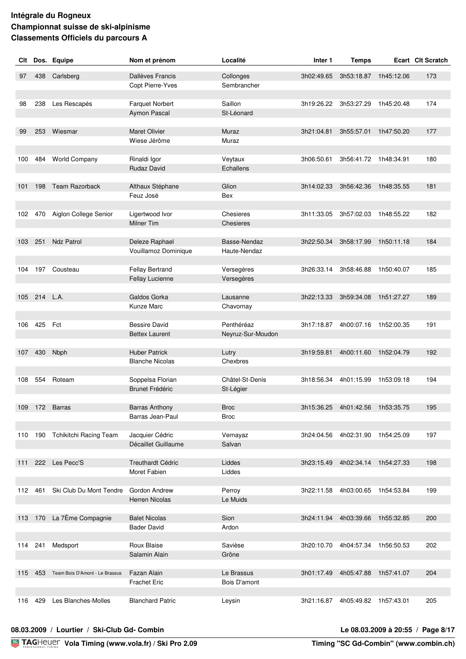| Clt |          | Dos. Equipe                    | Nom et prénom                             | Localité                   | Inter 1    | <b>Temps</b>                     |            | Ecart Clt Scratch |
|-----|----------|--------------------------------|-------------------------------------------|----------------------------|------------|----------------------------------|------------|-------------------|
| 97  | 438      | Carlsberg                      | Dallèves Francis                          | Collonges                  | 3h02:49.65 | 3h53:18.87                       | 1h45:12.06 | 173               |
|     |          |                                | Copt Pierre-Yves                          | Sembrancher                |            |                                  |            |                   |
|     |          |                                |                                           |                            |            |                                  |            |                   |
| 98  | 238      | Les Rescapés                   | <b>Farquet Norbert</b>                    | Saillon                    | 3h19:26.22 | 3h53:27.29                       | 1h45:20.48 | 174               |
|     |          |                                | Aymon Pascal                              | St-Léonard                 |            |                                  |            |                   |
|     |          |                                |                                           |                            |            |                                  |            |                   |
| 99  | 253      | Wiesmar                        | <b>Maret Olivier</b><br>Wiese Jérôme      | Muraz                      | 3h21:04.81 | 3h55:57.01                       | 1h47:50.20 | 177               |
|     |          |                                |                                           | Muraz                      |            |                                  |            |                   |
| 100 | 484      | <b>World Company</b>           | Rinaldi Igor                              | Veytaux                    | 3h06:50.61 | 3h56:41.72                       | 1h48:34.91 | 180               |
|     |          |                                | Rudaz David                               | Echallens                  |            |                                  |            |                   |
|     |          |                                |                                           |                            |            |                                  |            |                   |
| 101 | 198      | Team Razorback                 | Althaux Stéphane                          | Glion                      | 3h14:02.33 | 3h56:42.36                       | 1h48:35.55 | 181               |
|     |          |                                | Feuz José                                 | Bex                        |            |                                  |            |                   |
| 102 |          | 470 Aiglon College Senior      | Ligertwood Ivor                           | Chesieres                  | 3h11:33.05 | 3h57:02.03                       | 1h48:55.22 | 182               |
|     |          |                                | Milner Tim                                | Chesieres                  |            |                                  |            |                   |
|     |          |                                |                                           |                            |            |                                  |            |                   |
| 103 | 251      | <b>Ndz Patrol</b>              | Deleze Raphael                            | Basse-Nendaz               | 3h22:50.34 | 3h58:17.99                       | 1h50:11.18 | 184               |
|     |          |                                | Vouillamoz Dominique                      | Haute-Nendaz               |            |                                  |            |                   |
|     |          |                                |                                           |                            |            |                                  |            |                   |
| 104 |          | 197 Cousteau                   | Fellay Bertrand                           | Versegères                 | 3h26:33.14 | 3h58:46.88                       | 1h50:40.07 | 185               |
|     |          |                                | Fellay Lucienne                           | Versegères                 |            |                                  |            |                   |
| 105 | 214 L.A. |                                | Galdos Gorka                              | Lausanne                   | 3h22:13.33 | 3h59:34.08                       | 1h51:27.27 | 189               |
|     |          |                                | Kunze Marc                                | Chavornay                  |            |                                  |            |                   |
|     |          |                                |                                           |                            |            |                                  |            |                   |
| 106 | 425 Fct  |                                | <b>Bessire David</b>                      | Penthéréaz                 | 3h17:18.87 | 4h00:07.16 1h52:00.35            |            | 191               |
|     |          |                                | <b>Bettex Laurent</b>                     | Neyruz-Sur-Moudon          |            |                                  |            |                   |
| 107 | 430      | Nbph                           | <b>Huber Patrick</b>                      | Lutry                      | 3h19:59.81 | 4h00:11.60                       | 1h52:04.79 | 192               |
|     |          |                                | <b>Blanche Nicolas</b>                    | Chexbres                   |            |                                  |            |                   |
|     |          |                                |                                           |                            |            |                                  |            |                   |
| 108 | 554      | Roteam                         | Soppelsa Florian                          | Châtel-St-Denis            | 3h18:56.34 | 4h01:15.99                       | 1h53:09.18 | 194               |
|     |          |                                | <b>Brunet Frédéric</b>                    | St-Légier                  |            |                                  |            |                   |
|     |          |                                |                                           |                            |            |                                  |            |                   |
| 109 |          | 172 Barras                     | <b>Barras Anthony</b><br>Barras Jean-Paul | <b>Broc</b><br><b>Broc</b> | 3h15:36.25 | 4h01:42.56                       | 1h53:35.75 | 195               |
|     |          |                                |                                           |                            |            |                                  |            |                   |
|     |          | 110 190 Tchikitchi Racing Team | Jacquier Cédric                           | Vernayaz                   |            | 3h24:04.56 4h02:31.90 1h54:25.09 |            | 197               |
|     |          |                                | Décaillet Guillaume                       | Salvan                     |            |                                  |            |                   |
|     |          |                                |                                           |                            |            |                                  |            |                   |
|     |          | 111 222 Les Pecc'S             | Treuthardt Cédric                         | Liddes                     |            | 3h23:15.49 4h02:34.14 1h54:27.33 |            | 198               |
|     |          |                                | Moret Fabien                              | Liddes                     |            |                                  |            |                   |
| 112 | 461      | Ski Club Du Mont Tendre        | <b>Gordon Andrew</b>                      | Perroy                     | 3h22:11.58 | 4h03:00.65 1h54:53.84            |            | 199               |
|     |          |                                | <b>Herren Nicolas</b>                     | Le Muids                   |            |                                  |            |                   |
|     |          |                                |                                           |                            |            |                                  |            |                   |
| 113 | 170      | La 7Ème Compagnie              | <b>Balet Nicolas</b>                      | Sion                       | 3h24:11.94 | 4h03:39.66                       | 1h55:32.85 | 200               |
|     |          |                                | <b>Bader David</b>                        | Ardon                      |            |                                  |            |                   |
|     |          |                                |                                           |                            |            |                                  |            |                   |
|     | 114 241  | Medsport                       | Roux Blaise<br>Salamin Alain              | Savièse<br>Grône           |            | 3h20:10.70 4h04:57.34 1h56:50.53 |            | 202               |
|     |          |                                |                                           |                            |            |                                  |            |                   |
| 115 | 453      | Team Bois D'Amont - Le Brassus | Fazan Alain                               | Le Brassus                 | 3h01:17.49 | 4h05:47.88                       | 1h57:41.07 | 204               |
|     |          |                                | <b>Frachet Eric</b>                       | Bois D'amont               |            |                                  |            |                   |
|     |          |                                |                                           |                            |            |                                  |            |                   |
| 116 | 429      | Les Blanches-Molles            | <b>Blanchard Patric</b>                   | Leysin                     |            | 3h21:16.87 4h05:49.82            | 1h57:43.01 | 205               |

#### **08.03.2009 / Lourtier / Ski-Club Gd- Combin Le 08.03.2009 à 20:55 / Page 8/17**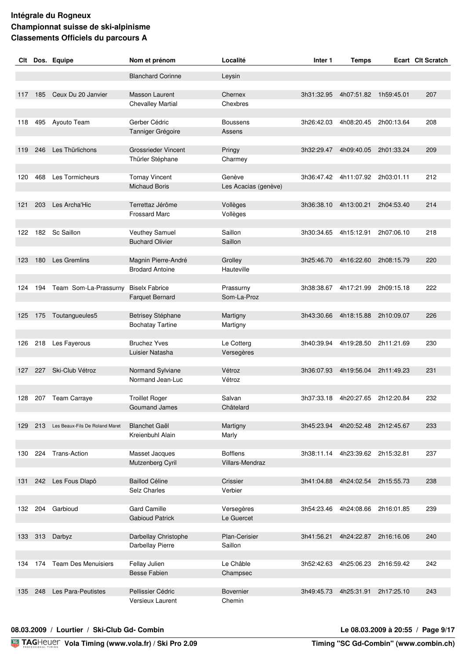| Clt |     | Dos. Equipe                        | Nom et prénom                                 | Localité                                  | Inter 1    | <b>Temps</b>                     |            | <b>Ecart Clt Scratch</b> |
|-----|-----|------------------------------------|-----------------------------------------------|-------------------------------------------|------------|----------------------------------|------------|--------------------------|
|     |     |                                    | <b>Blanchard Corinne</b>                      | Leysin                                    |            |                                  |            |                          |
|     |     |                                    |                                               |                                           |            |                                  |            |                          |
| 117 | 185 | Ceux Du 20 Janvier                 | <b>Masson Laurent</b>                         | Chernex                                   | 3h31:32.95 | 4h07:51.82                       | 1h59:45.01 | 207                      |
|     |     |                                    | <b>Chevalley Martial</b>                      | Chexbres                                  |            |                                  |            |                          |
|     |     |                                    |                                               |                                           |            |                                  |            |                          |
| 118 | 495 | Ayouto Team                        | Gerber Cédric<br>Tanniger Grégoire            | <b>Boussens</b><br>Assens                 | 3h26:42.03 | 4h08:20.45                       | 2h00:13.64 | 208                      |
|     |     |                                    |                                               |                                           |            |                                  |            |                          |
| 119 | 246 | Les Thürlichons                    | <b>Grossrieder Vincent</b>                    | Pringy                                    | 3h32:29.47 | 4h09:40.05                       | 2h01:33.24 | 209                      |
|     |     |                                    | Thürler Stéphane                              | Charmey                                   |            |                                  |            |                          |
|     |     |                                    |                                               |                                           |            |                                  |            |                          |
| 120 | 468 | <b>Les Tormicheurs</b>             | <b>Tornay Vincent</b><br><b>Michaud Boris</b> | Genève<br>Les Acacias (genève)            | 3h36:47.42 | 4h11:07.92                       | 2h03:01.11 | 212                      |
|     |     |                                    |                                               |                                           |            |                                  |            |                          |
| 121 |     | 203 Les Archa'Hic                  | Terrettaz Jérôme                              | Vollèges                                  |            | 3h36:38.10 4h13:00.21            | 2h04:53.40 | 214                      |
|     |     |                                    | <b>Frossard Marc</b>                          | Vollèges                                  |            |                                  |            |                          |
|     |     |                                    |                                               |                                           |            |                                  |            |                          |
| 122 |     | 182 Sc Saillon                     | Veuthey Samuel<br><b>Buchard Olivier</b>      | Saillon<br>Saillon                        |            | 3h30:34.65 4h15:12.91            | 2h07:06.10 | 218                      |
|     |     |                                    |                                               |                                           |            |                                  |            |                          |
| 123 | 180 | <b>Les Gremlins</b>                | Magnin Pierre-André                           | Grolley                                   | 3h25:46.70 | 4h16:22.60                       | 2h08:15.79 | 220                      |
|     |     |                                    | <b>Brodard Antoine</b>                        | Hauteville                                |            |                                  |            |                          |
|     |     |                                    |                                               |                                           |            |                                  |            |                          |
| 124 | 194 | Team Som-La-Prassurny              | <b>Biselx Fabrice</b>                         | Prassurny<br>Som-La-Proz                  | 3h38:38.67 | 4h17:21.99                       | 2h09:15.18 | 222                      |
|     |     |                                    | <b>Farquet Bernard</b>                        |                                           |            |                                  |            |                          |
| 125 | 175 | Toutangueules5                     | Betrisey Stéphane                             | Martigny                                  | 3h43:30.66 | 4h18:15.88                       | 2h10:09.07 | 226                      |
|     |     |                                    | <b>Bochatay Tartine</b>                       | Martigny                                  |            |                                  |            |                          |
|     |     |                                    |                                               |                                           |            |                                  |            |                          |
| 126 |     | 218 Les Fayerous                   | <b>Bruchez Yves</b><br>Luisier Natasha        | Le Cotterg<br>Versegères                  | 3h40:39.94 | 4h19:28.50                       | 2h11:21.69 | 230                      |
|     |     |                                    |                                               |                                           |            |                                  |            |                          |
| 127 | 227 | Ski-Club Vétroz                    | Normand Sylviane                              | Vétroz                                    | 3h36:07.93 | 4h19:56.04                       | 2h11:49.23 | 231                      |
|     |     |                                    | Normand Jean-Luc                              | Vétroz                                    |            |                                  |            |                          |
|     |     |                                    |                                               |                                           |            |                                  |            |                          |
| 128 |     | 207 Team Carraye                   | <b>Troillet Roger</b><br><b>Goumand James</b> | Salvan<br>Châtelard                       | 3h37:33.18 | 4h20:27.65                       | 2h12:20.84 | 232                      |
|     |     |                                    |                                               |                                           |            |                                  |            |                          |
| 129 |     | 213 Les Beaux-Fils De Roland Maret | <b>Blanchet Gaël</b>                          | Martigny                                  |            | 3h45:23.94 4h20:52.48 2h12:45.67 |            | 233                      |
|     |     |                                    | Kreienbuhl Alain                              | Marly                                     |            |                                  |            |                          |
|     |     |                                    |                                               |                                           |            |                                  |            |                          |
| 130 |     | 224 Trans-Action                   | Masset Jacques<br>Mutzenberg Cyril            | <b>Bofflens</b><br><b>Villars-Mendraz</b> |            | 3h38:11.14 4h23:39.62 2h15:32.81 |            | 237                      |
|     |     |                                    |                                               |                                           |            |                                  |            |                          |
| 131 |     | 242 Les Fous Dlapô                 | <b>Baillod Céline</b>                         | Crissier                                  |            | 3h41:04.88 4h24:02.54 2h15:55.73 |            | 238                      |
|     |     |                                    | Selz Charles                                  | Verbier                                   |            |                                  |            |                          |
|     |     |                                    |                                               |                                           |            |                                  |            |                          |
| 132 |     | 204 Garbioud                       | <b>Gard Camille</b><br><b>Gabioud Patrick</b> | Versegères<br>Le Guercet                  |            | 3h54:23.46 4h24:08.66            | 2h16:01.85 | 239                      |
|     |     |                                    |                                               |                                           |            |                                  |            |                          |
| 133 | 313 | Darbyz                             | Darbellay Christophe                          | Plan-Cerisier                             | 3h41:56.21 | 4h24:22.87                       | 2h16:16.06 | 240                      |
|     |     |                                    | Darbellay Pierre                              | Saillon                                   |            |                                  |            |                          |
|     |     |                                    |                                               |                                           |            |                                  |            |                          |
| 134 | 174 | <b>Team Des Menuisiers</b>         | Fellay Julien<br><b>Besse Fabien</b>          | Le Châble<br>Champsec                     | 3h52:42.63 | 4h25:06.23                       | 2h16:59.42 | 242                      |
|     |     |                                    |                                               |                                           |            |                                  |            |                          |
| 135 | 248 | Les Para-Peutistes                 | Pellissier Cédric                             | Bovernier                                 | 3h49:45.73 | 4h25:31.91 2h17:25.10            |            | 243                      |
|     |     |                                    | Versieux Laurent                              | Chemin                                    |            |                                  |            |                          |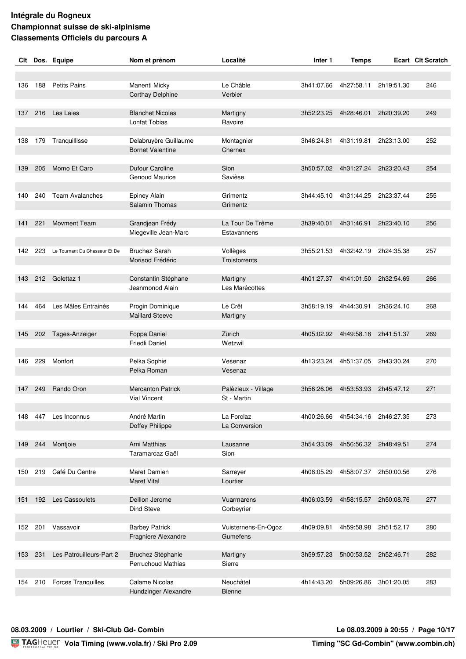| Clt |     | Dos. Equipe                   | Nom et prénom                          | Localité                    | Inter 1    | <b>Temps</b>          |            | Ecart Clt Scratch |
|-----|-----|-------------------------------|----------------------------------------|-----------------------------|------------|-----------------------|------------|-------------------|
|     |     |                               |                                        |                             |            |                       |            |                   |
|     |     |                               |                                        |                             |            |                       |            |                   |
| 136 | 188 | <b>Petits Pains</b>           | Manenti Micky                          | Le Châble                   | 3h41:07.66 | 4h27:58.11            | 2h19:51.30 | 246               |
|     |     |                               | <b>Corthay Delphine</b>                | Verbier                     |            |                       |            |                   |
|     |     | Les Laies                     | <b>Blanchet Nicolas</b>                |                             |            |                       |            |                   |
| 137 | 216 |                               | Lonfat Tobias                          | Martigny<br>Ravoire         | 3h52:23.25 | 4h28:46.01            | 2h20:39.20 | 249               |
|     |     |                               |                                        |                             |            |                       |            |                   |
| 138 | 179 | Tranquillisse                 | Delabruyère Guillaume                  | Montagnier                  | 3h46:24.81 | 4h31:19.81            | 2h23:13.00 | 252               |
|     |     |                               | <b>Bornet Valentine</b>                | Chernex                     |            |                       |            |                   |
|     |     |                               |                                        |                             |            |                       |            |                   |
| 139 | 205 | Momo Et Caro                  | Dufour Caroline                        | Sion                        | 3h50:57.02 | 4h31:27.24            | 2h23:20.43 | 254               |
|     |     |                               | <b>Genoud Maurice</b>                  | Savièse                     |            |                       |            |                   |
|     |     |                               |                                        |                             |            |                       |            |                   |
| 140 | 240 | <b>Team Avalanches</b>        | <b>Epiney Alain</b>                    | Grimentz                    | 3h44:45.10 | 4h31:44.25            | 2h23:37.44 | 255               |
|     |     |                               | <b>Salamin Thomas</b>                  | Grimentz                    |            |                       |            |                   |
|     |     |                               |                                        |                             |            |                       |            |                   |
| 141 | 221 | <b>Movment Team</b>           | Grandjean Frédy                        | La Tour De Trême            | 3h39:40.01 | 4h31:46.91            | 2h23:40.10 | 256               |
|     |     |                               | Miegeville Jean-Marc                   | Estavannens                 |            |                       |            |                   |
|     |     |                               |                                        |                             |            |                       |            |                   |
| 142 | 223 | Le Tournant Du Chasseur Et De | <b>Bruchez Sarah</b>                   | Vollèges                    | 3h55:21.53 | 4h32:42.19            | 2h24:35.38 | 257               |
|     |     |                               | Morisod Frédéric                       | <b>Troistorrents</b>        |            |                       |            |                   |
| 143 |     | Golettaz 1                    |                                        |                             | 4h01:27.37 |                       | 2h32:54.69 | 266               |
|     | 212 |                               | Constantin Stéphane<br>Jeanmonod Alain | Martigny<br>Les Marécottes  |            | 4h41:01.50            |            |                   |
|     |     |                               |                                        |                             |            |                       |            |                   |
| 144 | 464 | Les Mâles Entrainés           | Progin Dominique                       | Le Crêt                     | 3h58:19.19 | 4h44:30.91            | 2h36:24.10 | 268               |
|     |     |                               | <b>Maillard Steeve</b>                 | Martigny                    |            |                       |            |                   |
|     |     |                               |                                        |                             |            |                       |            |                   |
| 145 | 202 | Tages-Anzeiger                | Foppa Daniel                           | Zürich                      | 4h05:02.92 | 4h49:58.18            | 2h41:51.37 | 269               |
|     |     |                               | Friedli Daniel                         | Wetzwil                     |            |                       |            |                   |
|     |     |                               |                                        |                             |            |                       |            |                   |
| 146 | 229 | Monfort                       | Pelka Sophie                           | Vesenaz                     | 4h13:23.24 | 4h51:37.05            | 2h43:30.24 | 270               |
|     |     |                               | Pelka Roman                            | Vesenaz                     |            |                       |            |                   |
|     |     |                               |                                        |                             |            |                       |            |                   |
| 147 | 249 | Rando Oron                    | <b>Mercanton Patrick</b>               | Palèzieux - Village         | 3h56:26.06 | 4h53:53.93            | 2h45:47.12 | 271               |
|     |     |                               | <b>Vial Vincent</b>                    | St - Martin                 |            |                       |            |                   |
|     |     |                               |                                        |                             |            |                       |            |                   |
| 148 | 447 | Les Inconnus                  | André Martin<br>Doffey Philippe        | La Forclaz<br>La Conversion | 4h00:26.66 | 4h54:34.16 2h46:27.35 |            | 273               |
|     |     |                               |                                        |                             |            |                       |            |                   |
| 149 |     | 244 Montjoie                  | Arni Matthias                          | Lausanne                    | 3h54:33.09 | 4h56:56.32 2h48:49.51 |            | 274               |
|     |     |                               | Taramarcaz Gaël                        | Sion                        |            |                       |            |                   |
|     |     |                               |                                        |                             |            |                       |            |                   |
| 150 | 219 | Café Du Centre                | Maret Damien                           | Sarreyer                    | 4h08:05.29 | 4h58:07.37 2h50:00.56 |            | 276               |
|     |     |                               | <b>Maret Vital</b>                     | Lourtier                    |            |                       |            |                   |
|     |     |                               |                                        |                             |            |                       |            |                   |
| 151 | 192 | Les Cassoulets                | Deillon Jerome                         | Vuarmarens                  | 4h06:03.59 | 4h58:15.57            | 2h50:08.76 | 277               |
|     |     |                               | Dind Steve                             | Corbeyrier                  |            |                       |            |                   |
|     |     |                               |                                        |                             |            |                       |            |                   |
| 152 | 201 | Vassavoir                     | <b>Barbey Patrick</b>                  | Vuisternens-En-Ogoz         | 4h09:09.81 | 4h59:58.98            | 2h51:52.17 | 280               |
|     |     |                               | Fragniere Alexandre                    | Gumefens                    |            |                       |            |                   |
|     |     |                               |                                        |                             |            |                       |            |                   |
| 153 | 231 | Les Patrouilleurs-Part 2      | Bruchez Stéphanie                      | Martigny                    | 3h59:57.23 | 5h00:53.52 2h52:46.71 |            | 282               |
|     |     |                               | <b>Perruchoud Mathias</b>              | Sierre                      |            |                       |            |                   |
|     |     | 210 Forces Tranquilles        | <b>Calame Nicolas</b>                  | Neuchâtel                   |            | 5h09:26.86            | 3h01:20.05 | 283               |
| 154 |     |                               | Hundzinger Alexandre                   | <b>Bienne</b>               | 4h14:43.20 |                       |            |                   |
|     |     |                               |                                        |                             |            |                       |            |                   |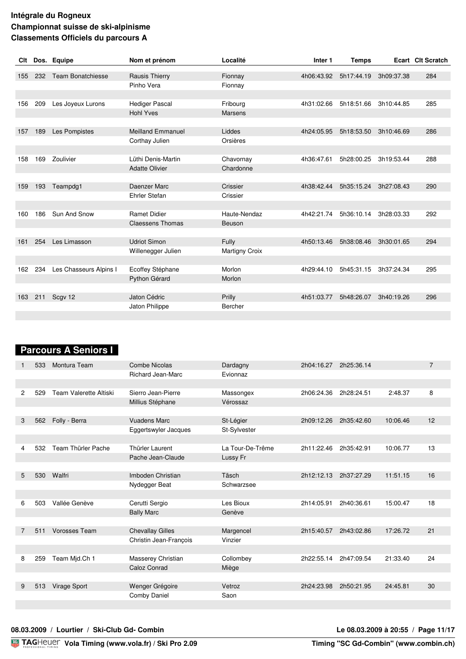| Clt |     | Dos. Equipe              | Nom et prénom            | Localité              | Inter 1    | <b>Temps</b> |            | Ecart Clt Scratch |
|-----|-----|--------------------------|--------------------------|-----------------------|------------|--------------|------------|-------------------|
|     |     |                          |                          |                       |            |              |            |                   |
| 155 | 232 | <b>Team Bonatchiesse</b> | <b>Rausis Thierry</b>    | Fionnay               | 4h06:43.92 | 5h17:44.19   | 3h09:37.38 | 284               |
|     |     |                          | Pinho Vera               | Fionnay               |            |              |            |                   |
|     |     |                          |                          |                       |            |              |            |                   |
| 156 | 209 | Les Joyeux Lurons        | <b>Hediger Pascal</b>    | Fribourg              | 4h31:02.66 | 5h18:51.66   | 3h10:44.85 | 285               |
|     |     |                          | <b>Hohl Yves</b>         | <b>Marsens</b>        |            |              |            |                   |
|     |     |                          |                          |                       |            |              |            |                   |
| 157 | 189 | Les Pompistes            | <b>Meilland Emmanuel</b> | Liddes                | 4h24:05.95 | 5h18:53.50   | 3h10:46.69 | 286               |
|     |     |                          | Corthay Julien           | Orsières              |            |              |            |                   |
|     |     |                          |                          |                       |            |              |            |                   |
| 158 | 169 | Zoulivier                | Lüthi Denis-Martin       | Chavornay             | 4h36:47.61 | 5h28:00.25   | 3h19:53.44 | 288               |
|     |     |                          | <b>Adatte Olivier</b>    | Chardonne             |            |              |            |                   |
|     |     |                          |                          |                       |            |              |            |                   |
| 159 | 193 | Teampdg1                 | Daenzer Marc             | Crissier              | 4h38:42.44 | 5h35:15.24   | 3h27:08.43 | 290               |
|     |     |                          | <b>Ehrler Stefan</b>     | Crissier              |            |              |            |                   |
|     |     |                          |                          |                       |            |              |            |                   |
| 160 | 186 | Sun And Snow             | <b>Ramet Didier</b>      | Haute-Nendaz          | 4h42:21.74 | 5h36:10.14   | 3h28:03.33 | 292               |
|     |     |                          | <b>Claessens Thomas</b>  | Beuson                |            |              |            |                   |
|     |     |                          |                          |                       |            |              |            |                   |
| 161 | 254 | Les Limasson             | <b>Udriot Simon</b>      | Fully                 | 4h50:13.46 | 5h38:08.46   | 3h30:01.65 | 294               |
|     |     |                          | Willenegger Julien       | <b>Martigny Croix</b> |            |              |            |                   |
|     |     |                          |                          |                       |            |              |            |                   |
| 162 | 234 | Les Chasseurs Alpins I   | Ecoffey Stéphane         | Morlon                | 4h29:44.10 | 5h45:31.15   | 3h37:24.34 | 295               |
|     |     |                          | Python Gérard            | Morlon                |            |              |            |                   |
|     |     |                          |                          |                       |            |              |            |                   |
| 163 | 211 | Scgv 12                  | Jaton Cédric             | Prilly                | 4h51:03.77 | 5h48:26.07   | 3h40:19.26 | 296               |
|     |     |                          | Jaton Philippe           | Bercher               |            |              |            |                   |
|     |     |                          |                          |                       |            |              |            |                   |

# **Parcours A Seniors I**

|                | 533 | Montura Team           | Combe Nicolas            | Dardagny         | 2h04:16.27 | 2h25:36.14 |          | $\overline{7}$ |
|----------------|-----|------------------------|--------------------------|------------------|------------|------------|----------|----------------|
|                |     |                        | <b>Richard Jean-Marc</b> | Evionnaz         |            |            |          |                |
|                |     |                        |                          |                  |            |            |          |                |
| $\overline{c}$ | 529 | Team Valerette Altiski | Sierro Jean-Pierre       | Massongex        | 2h06:24.36 | 2h28:24.51 | 2:48.37  | 8              |
|                |     |                        | Millius Stéphane         | Vérossaz         |            |            |          |                |
|                |     |                        |                          |                  |            |            |          |                |
| 3              | 562 | Folly - Berra          | <b>Vuadens Marc</b>      | St-Légier        | 2h09:12.26 | 2h35:42.60 | 10:06.46 | 12             |
|                |     |                        | Eggertswyler Jacques     | St-Sylvester     |            |            |          |                |
|                |     |                        |                          |                  |            |            |          |                |
| 4              | 532 | Team Thürler Pache     | Thürler Laurent          | La Tour-De-Trême | 2h11:22.46 | 2h35:42.91 | 10:06.77 | 13             |
|                |     |                        | Pache Jean-Claude        | Lussy Fr         |            |            |          |                |
|                |     |                        |                          |                  |            |            |          |                |
| 5              | 530 | Walfri                 | Imboden Christian        | Täsch            | 2h12:12.13 | 2h37:27.29 | 11:51.15 | 16             |
|                |     |                        | Nydegger Beat            | Schwarzsee       |            |            |          |                |
|                |     |                        |                          |                  |            |            |          |                |
| 6              | 503 | Vallée Genève          | Cerutti Sergio           | Les Bioux        | 2h14:05.91 | 2h40:36.61 | 15:00.47 | 18             |
|                |     |                        | <b>Bally Marc</b>        | Genève           |            |            |          |                |
|                |     |                        |                          |                  |            |            |          |                |
| 7              | 511 | <b>Vorosses Team</b>   | <b>Chevallay Gilles</b>  | Margencel        | 2h15:40.57 | 2h43:02.86 | 17:26.72 | 21             |
|                |     |                        | Christin Jean-François   | Vinzier          |            |            |          |                |
|                |     |                        |                          |                  |            |            |          |                |
| 8              | 259 | Team Mjd.Ch 1          | Masserey Christian       | Collombey        | 2h22:55.14 | 2h47:09.54 | 21:33.40 | 24             |
|                |     |                        | Caloz Conrad             | Miège            |            |            |          |                |
|                |     |                        |                          |                  |            |            |          |                |
| 9              | 513 | <b>Virage Sport</b>    | Wenger Grégoire          | Vetroz           | 2h24:23.98 | 2h50:21.95 | 24:45.81 | 30             |
|                |     |                        | Comby Daniel             | Saon             |            |            |          |                |
|                |     |                        |                          |                  |            |            |          |                |

#### **08.03.2009 / Lourtier / Ski-Club Gd- Combin Le 08.03.2009 à 20:55 / Page 11/17**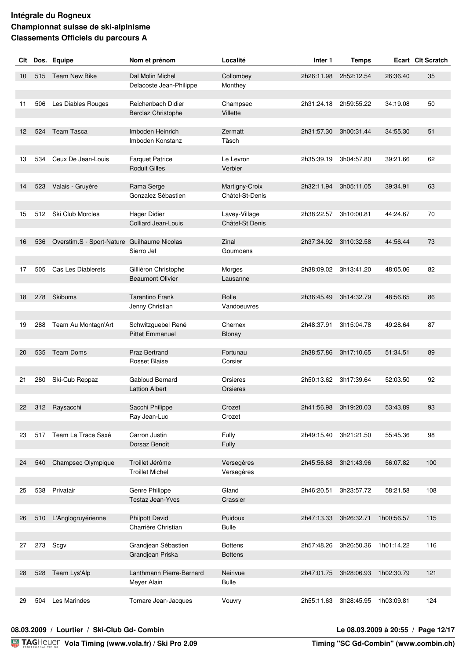| Clt               |     | Dos. Equipe                                 | Nom et prénom                                     | Localité                         | Inter 1               | <b>Temps</b>          |            | Ecart Clt Scratch |
|-------------------|-----|---------------------------------------------|---------------------------------------------------|----------------------------------|-----------------------|-----------------------|------------|-------------------|
| 10                | 515 | <b>Team New Bike</b>                        | Dal Molin Michel                                  | Collombey                        | 2h26:11.98            | 2h52:12.54            | 26:36.40   | 35                |
|                   |     |                                             | Delacoste Jean-Philippe                           | Monthey                          |                       |                       |            |                   |
|                   |     |                                             |                                                   |                                  |                       |                       |            |                   |
| 11                | 506 | Les Diables Rouges                          | Reichenbach Didier                                | Champsec                         |                       | 2h31:24.18 2h59:55.22 | 34:19.08   | 50                |
|                   |     |                                             | Berclaz Christophe                                | Villette                         |                       |                       |            |                   |
| $12 \overline{ }$ | 524 | <b>Team Tasca</b>                           | Imboden Heinrich                                  | Zermatt                          | 2h31:57.30            | 3h00:31.44            | 34:55.30   | 51                |
|                   |     |                                             | Imboden Konstanz                                  | Täsch                            |                       |                       |            |                   |
|                   |     |                                             |                                                   |                                  |                       |                       |            |                   |
| 13                | 534 | Ceux De Jean-Louis                          | <b>Farquet Patrice</b><br><b>Roduit Gilles</b>    | Le Levron<br>Verbier             | 2h35:39.19            | 3h04:57.80            | 39:21.66   | 62                |
|                   |     |                                             |                                                   |                                  |                       |                       |            |                   |
| 14                | 523 | Valais - Gruyère                            | Rama Serge                                        | Martigny-Croix                   | 2h32:11.94            | 3h05:11.05            | 39:34.91   | 63                |
|                   |     |                                             | Gonzalez Sébastien                                | Châtel-St-Denis                  |                       |                       |            |                   |
|                   |     |                                             |                                                   |                                  |                       |                       |            |                   |
| 15                |     | 512 Ski Club Morcles                        | <b>Hager Didier</b><br><b>Colliard Jean-Louis</b> | Lavey-Village<br>Châtel-St Denis | 2h38:22.57 3h10:00.81 |                       | 44:24.67   | 70                |
|                   |     |                                             |                                                   |                                  |                       |                       |            |                   |
| 16                | 536 | Overstim.S - Sport-Nature Guilhaume Nicolas |                                                   | Zinal                            |                       | 2h37:34.92 3h10:32.58 | 44:56.44   | 73                |
|                   |     |                                             | Sierro Jef                                        | Goumoens                         |                       |                       |            |                   |
| 17                | 505 | Cas Les Diablerets                          | Gilliéron Christophe                              | Morges                           |                       | 2h38:09.02 3h13:41.20 | 48:05.06   | 82                |
|                   |     |                                             | <b>Beaumont Olivier</b>                           | Lausanne                         |                       |                       |            |                   |
|                   |     |                                             |                                                   |                                  |                       |                       |            |                   |
| 18                | 278 | <b>Skibums</b>                              | <b>Tarantino Frank</b>                            | Rolle                            | 2h36:45.49            | 3h14:32.79            | 48:56.65   | 86                |
|                   |     |                                             | Jenny Christian                                   | Vandoeuvres                      |                       |                       |            |                   |
| 19                | 288 | Team Au Montagn'Art                         | Schwitzguebel René                                | Chernex                          | 2h48:37.91            | 3h15:04.78            | 49:28.64   | 87                |
|                   |     |                                             | <b>Pittet Emmanuel</b>                            | Blonay                           |                       |                       |            |                   |
|                   |     |                                             |                                                   |                                  |                       |                       |            |                   |
| 20                | 535 | <b>Team Doms</b>                            | <b>Praz Bertrand</b>                              | Fortunau                         | 2h38:57.86            | 3h17:10.65            | 51:34.51   | 89                |
|                   |     |                                             | <b>Rosset Blaise</b>                              | Corsier                          |                       |                       |            |                   |
| 21                | 280 | Ski-Cub Reppaz                              | Gabioud Bernard                                   | Orsieres                         |                       | 2h50:13.62 3h17:39.64 | 52:03.50   | 92                |
|                   |     |                                             | <b>Lattion Albert</b>                             | Orsieres                         |                       |                       |            |                   |
|                   |     |                                             |                                                   |                                  |                       |                       |            |                   |
| 22                |     | 312 Raysacchi                               | Sacchi Philippe                                   | Crozet                           | 2h41:56.98            | 3h19:20.03            | 53:43.89   | 93                |
|                   |     |                                             | Ray Jean-Luc                                      | Crozet                           |                       |                       |            |                   |
| 23                |     | 517 Team La Trace Saxé                      | Carron Justin                                     | Fully                            |                       | 2h49:15.40 3h21:21.50 | 55:45.36   | 98                |
|                   |     |                                             | Dorsaz Benoît                                     | Fully                            |                       |                       |            |                   |
|                   |     |                                             |                                                   |                                  |                       |                       |            |                   |
| 24                | 540 | Champsec Olympique                          | Troillet Jérôme<br><b>Troillet Michel</b>         | Versegères<br>Versegères         |                       | 2h45:56.68 3h21:43.96 | 56:07.82   | 100               |
|                   |     |                                             |                                                   |                                  |                       |                       |            |                   |
| 25                |     | 538 Privatair                               | Genre Philippe                                    | Gland                            | 2h46:20.51            | 3h23:57.72            | 58:21.58   | 108               |
|                   |     |                                             | Testaz Jean-Yves                                  | Crassier                         |                       |                       |            |                   |
| 26                | 510 | L'Anglogruyérienne                          | <b>Philpott David</b>                             | Puidoux                          | 2h47:13.33            | 3h26:32.71            | 1h00:56.57 | 115               |
|                   |     |                                             | Charrière Christian                               | <b>Bulle</b>                     |                       |                       |            |                   |
|                   |     |                                             |                                                   |                                  |                       |                       |            |                   |
| 27                | 273 | Scgv                                        | Grandjean Sébastien                               | <b>Bottens</b>                   | 2h57:48.26            | 3h26:50.36            | 1h01:14.22 | 116               |
|                   |     |                                             | Grandjean Priska                                  | <b>Bottens</b>                   |                       |                       |            |                   |
| 28                | 528 | Team Lys'Alp                                | Lanthmann Pierre-Bernard                          | Neirivue                         |                       | 2h47:01.75 3h28:06.93 | 1h02:30.79 | 121               |
|                   |     |                                             | Meyer Alain                                       | <b>Bulle</b>                     |                       |                       |            |                   |
|                   |     |                                             |                                                   |                                  |                       |                       |            |                   |
| 29                | 504 | Les Marindes                                | Tornare Jean-Jacques                              | Vouvry                           | 2h55:11.63            | 3h28:45.95            | 1h03:09.81 | 124               |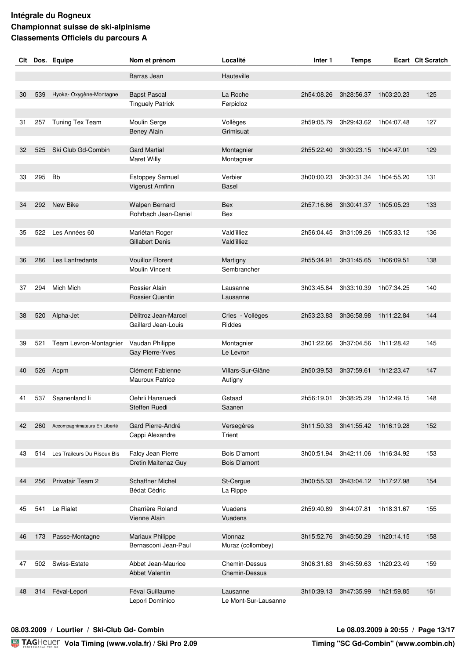| Clt |     | Dos. Equipe                     | Nom et prénom                                    | Localité                            | Inter 1    | <b>Temps</b>                     |            | Ecart Clt Scratch |
|-----|-----|---------------------------------|--------------------------------------------------|-------------------------------------|------------|----------------------------------|------------|-------------------|
|     |     |                                 | Barras Jean                                      | Hauteville                          |            |                                  |            |                   |
|     |     |                                 |                                                  |                                     |            |                                  |            |                   |
| 30  | 539 | Hyoka-Oxygène-Montagne          | <b>Bapst Pascal</b>                              | La Roche                            | 2h54:08.26 | 3h28:56.37                       | 1h03:20.23 | 125               |
|     |     |                                 | <b>Tinguely Patrick</b>                          | Ferpicloz                           |            |                                  |            |                   |
| 31  | 257 | Tuning Tex Team                 | Moulin Serge                                     | Vollèges                            | 2h59:05.79 | 3h29:43.62                       | 1h04:07.48 | 127               |
|     |     |                                 | <b>Beney Alain</b>                               | Grimisuat                           |            |                                  |            |                   |
|     |     |                                 |                                                  |                                     |            |                                  |            |                   |
| 32  | 525 | Ski Club Gd-Combin              | <b>Gard Martial</b>                              | Montagnier                          | 2h55:22.40 | 3h30:23.15                       | 1h04:47.01 | 129               |
|     |     |                                 | Maret Willy                                      | Montagnier                          |            |                                  |            |                   |
| 33  | 295 | <b>Bb</b>                       | <b>Estoppey Samuel</b>                           | Verbier                             | 3h00:00.23 | 3h30:31.34                       | 1h04:55.20 | 131               |
|     |     |                                 | Vigerust Arnfinn                                 | Basel                               |            |                                  |            |                   |
|     |     |                                 |                                                  |                                     |            |                                  |            |                   |
| 34  |     | 292 New Bike                    | Walpen Bernard<br>Rohrbach Jean-Daniel           | Bex<br>Bex                          | 2h57:16.86 | 3h30:41.37                       | 1h05:05.23 | 133               |
|     |     |                                 |                                                  |                                     |            |                                  |            |                   |
| 35  | 522 | Les Années 60                   | Mariétan Roger                                   | <b>Vald'illiez</b>                  | 2h56:04.45 | 3h31:09.26                       | 1h05:33.12 | 136               |
|     |     |                                 | Gillabert Denis                                  | Vald'illiez                         |            |                                  |            |                   |
|     |     |                                 |                                                  |                                     |            |                                  |            |                   |
| 36  | 286 | Les Lanfredants                 | <b>Vouilloz Florent</b><br><b>Moulin Vincent</b> | Martigny<br>Sembrancher             | 2h55:34.91 | 3h31:45.65                       | 1h06:09.51 | 138               |
|     |     |                                 |                                                  |                                     |            |                                  |            |                   |
| 37  | 294 | Mich Mich                       | Rossier Alain                                    | Lausanne                            | 3h03:45.84 | 3h33:10.39                       | 1h07:34.25 | 140               |
|     |     |                                 | <b>Rossier Quentin</b>                           | Lausanne                            |            |                                  |            |                   |
| 38  | 520 | Alpha-Jet                       | Délitroz Jean-Marcel                             | Cries - Vollèges                    | 2h53:23.83 | 3h36:58.98                       | 1h11:22.84 | 144               |
|     |     |                                 | Gaillard Jean-Louis                              | Riddes                              |            |                                  |            |                   |
|     |     |                                 |                                                  |                                     |            |                                  |            |                   |
| 39  | 521 | Team Levron-Montagnier          | Vaudan Philippe                                  | Montagnier                          | 3h01:22.66 | 3h37:04.56                       | 1h11:28.42 | 145               |
|     |     |                                 | Gay Pierre-Yves                                  | Le Levron                           |            |                                  |            |                   |
| 40  | 526 | Acpm                            | Clément Fabienne                                 | Villars-Sur-Glâne                   | 2h50:39.53 | 3h37:59.61                       | 1h12:23.47 | 147               |
|     |     |                                 | <b>Mauroux Patrice</b>                           | Autigny                             |            |                                  |            |                   |
|     |     |                                 |                                                  |                                     |            |                                  |            |                   |
| 41  | 537 | Saanenland li                   | Oehrli Hansruedi                                 | Gstaad                              | 2h56:19.01 | 3h38:25.29                       | 1h12:49.15 | 148               |
|     |     |                                 | Steffen Ruedi                                    | Saanen                              |            |                                  |            |                   |
| 42  | 260 | Accompagnimateurs En Liberté    | Gard Pierre-André                                | Versegères                          | 3h11:50.33 | 3h41:55.42 1h16:19.28            |            | 152               |
|     |     |                                 | Cappi Alexandre                                  | Trient                              |            |                                  |            |                   |
|     |     |                                 |                                                  |                                     |            |                                  |            |                   |
| 43  |     | 514 Les Traileurs Du Risoux Bis | Falcy Jean Pierre<br>Cretin Maitenaz Guy         | Bois D'amont<br><b>Bois D'amont</b> |            | 3h00:51.94 3h42:11.06 1h16:34.92 |            | 153               |
|     |     |                                 |                                                  |                                     |            |                                  |            |                   |
| 44  | 256 | Privatair Team 2                | <b>Schaffner Michel</b>                          | St-Cergue                           |            | 3h00:55.33 3h43:04.12 1h17:27.98 |            | 154               |
|     |     |                                 | <b>Bédat Cédric</b>                              | La Rippe                            |            |                                  |            |                   |
|     |     |                                 |                                                  |                                     |            |                                  |            |                   |
| 45  | 541 | Le Rialet                       | Charrière Roland<br>Vienne Alain                 | Vuadens<br>Vuadens                  | 2h59:40.89 | 3h44:07.81                       | 1h18:31.67 | 155               |
|     |     |                                 |                                                  |                                     |            |                                  |            |                   |
| 46  | 173 | Passe-Montagne                  | Mariaux Philippe                                 | Vionnaz                             | 3h15:52.76 | 3h45:50.29                       | 1h20:14.15 | 158               |
|     |     |                                 | Bernasconi Jean-Paul                             | Muraz (collombey)                   |            |                                  |            |                   |
| 47  |     | 502 Swiss-Estate                | Abbet Jean-Maurice                               | Chemin-Dessus                       | 3h06:31.63 | 3h45:59.63                       | 1h20:23.49 | 159               |
|     |     |                                 | Abbet Valentin                                   | Chemin-Dessus                       |            |                                  |            |                   |
|     |     |                                 |                                                  |                                     |            |                                  |            |                   |
| 48  | 314 | Féval-Lepori                    | Féval Guillaume                                  | Lausanne                            | 3h10:39.13 | 3h47:35.99                       | 1h21:59.85 | 161               |
|     |     |                                 | Lepori Dominico                                  | Le Mont-Sur-Lausanne                |            |                                  |            |                   |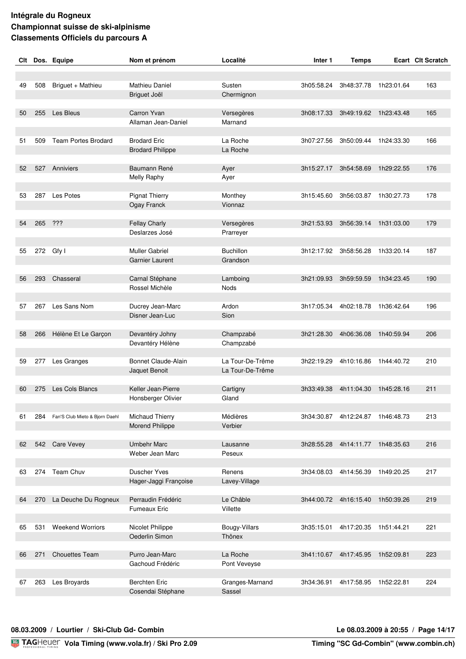| Clt |     | Dos. Equipe                        | Nom et prénom           | Localité         | Inter 1    | <b>Temps</b>                     |            | <b>Ecart Clt Scratch</b> |
|-----|-----|------------------------------------|-------------------------|------------------|------------|----------------------------------|------------|--------------------------|
|     |     |                                    |                         |                  |            |                                  |            |                          |
|     |     |                                    |                         |                  |            |                                  |            |                          |
| 49  | 508 | Briguet + Mathieu                  | Mathieu Daniel          | Susten           | 3h05:58.24 | 3h48:37.78                       | 1h23:01.64 | 163                      |
|     |     |                                    | Briguet Joël            | Chermignon       |            |                                  |            |                          |
|     |     |                                    |                         |                  |            |                                  |            |                          |
| 50  | 255 | Les Bleus                          | Carron Yvan             | Versegères       | 3h08:17.33 | 3h49:19.62                       | 1h23:43.48 | 165                      |
|     |     |                                    | Allaman Jean-Daniel     | Marnand          |            |                                  |            |                          |
| 51  | 509 | <b>Team Portes Brodard</b>         | <b>Brodard Eric</b>     | La Roche         | 3h07:27.56 | 3h50:09.44                       | 1h24:33.30 | 166                      |
|     |     |                                    | <b>Brodard Philippe</b> | La Roche         |            |                                  |            |                          |
|     |     |                                    |                         |                  |            |                                  |            |                          |
| 52  | 527 | Anniviers                          | Baumann René            | Ayer             | 3h15:27.17 | 3h54:58.69                       | 1h29:22.55 | 176                      |
|     |     |                                    | <b>Melly Raphy</b>      | Ayer             |            |                                  |            |                          |
|     |     |                                    |                         |                  |            |                                  |            |                          |
| 53  | 287 | Les Potes                          | <b>Pignat Thierry</b>   | Monthey          | 3h15:45.60 | 3h56:03.87                       | 1h30:27.73 | 178                      |
|     |     |                                    | Ogay Franck             | Vionnaz          |            |                                  |            |                          |
|     |     |                                    |                         |                  |            |                                  |            |                          |
| 54  | 265 | ???                                | <b>Fellay Charly</b>    | Versegères       | 3h21:53.93 | 3h56:39.14 1h31:03.00            |            | 179                      |
|     |     |                                    | Deslarzes José          | Prarreyer        |            |                                  |            |                          |
|     |     |                                    |                         |                  |            |                                  |            |                          |
| 55  |     | 272 Gfy I                          | <b>Muller Gabriel</b>   | <b>Buchillon</b> | 3h12:17.92 | 3h58:56.28                       | 1h33:20.14 | 187                      |
|     |     |                                    | <b>Garnier Laurent</b>  | Grandson         |            |                                  |            |                          |
|     |     |                                    |                         |                  |            |                                  |            |                          |
| 56  | 293 | Chasseral                          | Carnal Stéphane         | Lamboing         | 3h21:09.93 | 3h59:59.59                       | 1h34:23.45 | 190                      |
|     |     |                                    | Rossel Michèle          | <b>Nods</b>      |            |                                  |            |                          |
|     |     |                                    |                         |                  |            |                                  |            |                          |
| 57  | 267 | Les Sans Nom                       | Ducrey Jean-Marc        | Ardon            | 3h17:05.34 | 4h02:18.78                       | 1h36:42.64 | 196                      |
|     |     |                                    | Disner Jean-Luc         | Sion             |            |                                  |            |                          |
|     |     |                                    |                         |                  |            |                                  |            |                          |
| 58  | 266 | Hélène Et Le Garçon                | Devantéry Johny         | Champzabé        | 3h21:28.30 | 4h06:36.08                       | 1h40:59.94 | 206                      |
|     |     |                                    | Devantéry Hélène        | Champzabé        |            |                                  |            |                          |
| 59  | 277 | Les Granges                        | Bonnet Claude-Alain     | La Tour-De-Trême | 3h22:19.29 | 4h10:16.86                       | 1h44:40.72 | 210                      |
|     |     |                                    | Jaquet Benoit           | La Tour-De-Trême |            |                                  |            |                          |
|     |     |                                    |                         |                  |            |                                  |            |                          |
| 60  | 275 | Les Cols Blancs                    | Keller Jean-Pierre      | Cartigny         | 3h33:49.38 | 4h11:04.30                       | 1h45:28.16 | 211                      |
|     |     |                                    | Honsberger Olivier      | Gland            |            |                                  |            |                          |
|     |     |                                    |                         |                  |            |                                  |            |                          |
| 61  |     | 284 Fan'S Club Mieto & Bjorn Daehl | Michaud Thierry         | Médières         | 3h34:30.87 | 4h12:24.87 1h46:48.73            |            | 213                      |
|     |     |                                    | Morend Philippe         | Verbier          |            |                                  |            |                          |
|     |     |                                    |                         |                  |            |                                  |            |                          |
| 62  |     | 542 Care Vevey                     | <b>Umbehr Marc</b>      | Lausanne         |            | 3h28:55.28 4h14:11.77 1h48:35.63 |            | 216                      |
|     |     |                                    | Weber Jean Marc         | Peseux           |            |                                  |            |                          |
|     |     |                                    |                         |                  |            |                                  |            |                          |
| 63  |     | 274 Team Chuv                      | <b>Duscher Yves</b>     | Renens           | 3h34:08.03 | 4h14:56.39                       | 1h49:20.25 | 217                      |
|     |     |                                    | Hager-Jaggi Françoise   | Lavey-Village    |            |                                  |            |                          |
|     |     |                                    |                         |                  |            |                                  |            |                          |
| 64  | 270 | La Deuche Du Rogneux               | Perraudin Frédéric      | Le Châble        | 3h44:00.72 | 4h16:15.40                       | 1h50:39.26 | 219                      |
|     |     |                                    | <b>Fumeaux Eric</b>     | Villette         |            |                                  |            |                          |
|     |     |                                    |                         |                  |            |                                  |            |                          |
| 65  | 531 | <b>Weekend Worriors</b>            | Nicolet Philippe        | Bougy-Villars    | 3h35:15.01 | 4h17:20.35                       | 1h51:44.21 | 221                      |
|     |     |                                    | Oederlin Simon          | Thônex           |            |                                  |            |                          |
|     |     |                                    |                         |                  |            |                                  |            |                          |
| 66  | 271 | <b>Chouettes Team</b>              | Purro Jean-Marc         | La Roche         | 3h41:10.67 | 4h17:45.95                       | 1h52:09.81 | 223                      |
|     |     |                                    | Gachoud Frédéric        | Pont Veveyse     |            |                                  |            |                          |
| 67  | 263 | Les Broyards                       | <b>Berchten Eric</b>    | Granges-Marnand  | 3h34:36.91 | 4h17:58.95 1h52:22.81            |            | 224                      |
|     |     |                                    | Cosendai Stéphane       | Sassel           |            |                                  |            |                          |
|     |     |                                    |                         |                  |            |                                  |            |                          |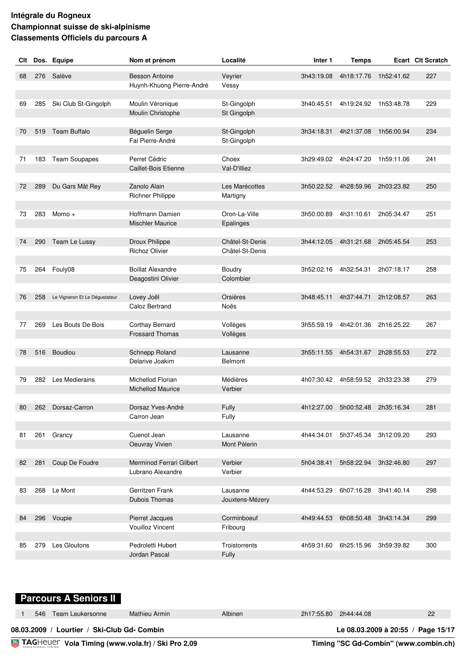| Clt |     | Dos. Equipe                   | Nom et prénom             | Localité        | Inter 1    | <b>Temps</b>                     |            | <b>Ecart Clt Scratch</b> |
|-----|-----|-------------------------------|---------------------------|-----------------|------------|----------------------------------|------------|--------------------------|
| 68  | 276 | Salève                        | <b>Besson Antoine</b>     | Veyrier         | 3h43:19.08 | 4h18:17.76                       | 1h52:41.62 | 227                      |
|     |     |                               | Huynh-Khuong Pierre-André | Vessy           |            |                                  |            |                          |
|     |     |                               |                           |                 |            |                                  |            |                          |
| 69  | 285 | Ski Club St-Gingolph          | Moulin Véronique          | St-Gingolph     | 3h40:45.51 | 4h19:24.92 1h53:48.78            |            | 229                      |
|     |     |                               | Moulin Christophe         | St Gingolph     |            |                                  |            |                          |
| 70  | 519 | <b>Team Buffalo</b>           | Béguelin Serge            | St-Gingolph     | 3h34:18.31 | 4h21:37.08                       | 1h56:00.94 | 234                      |
|     |     |                               | Fai Pierre-André          | St-Gingolph     |            |                                  |            |                          |
|     |     |                               |                           |                 |            |                                  |            |                          |
| 71  | 183 | Team Soupapes                 | Perret Cédric             | Choex           | 3h29:49.02 | 4h24:47.20                       | 1h59:11.06 | 241                      |
|     |     |                               | Caillet-Bois Etienne      | Val-D'illiez    |            |                                  |            |                          |
| 72  | 289 | Du Gars Mât Rey               | Zanolo Alain              | Les Marécottes  | 3h50:22.52 | 4h28:59.96                       | 2h03:23.82 | 250                      |
|     |     |                               | <b>Richner Philippe</b>   | Martigny        |            |                                  |            |                          |
|     |     |                               |                           |                 |            |                                  |            |                          |
| 73  |     | 283 Momo +                    | Hoffmann Damien           | Oron-La-Ville   | 3h50:00.89 | 4h31:10.61                       | 2h05:34.47 | 251                      |
|     |     |                               | <b>Mischler Maurice</b>   | Epalinges       |            |                                  |            |                          |
| 74  | 290 | Team Le Lussy                 | Droux Philippe            | Châtel-St-Denis | 3h44:12.05 | 4h31:21.68                       | 2h05:45.54 | 253                      |
|     |     |                               | <b>Richoz Olivier</b>     | Châtel-St-Denis |            |                                  |            |                          |
|     |     |                               |                           |                 |            |                                  |            |                          |
| 75  | 264 | Fouly08                       | <b>Boillat Alexandre</b>  | Boudry          | 3h52:02.16 | 4h32:54.31                       | 2h07:18.17 | 258                      |
|     |     |                               | Deagostini Olivier        | Colombier       |            |                                  |            |                          |
| 76  | 258 | Le Vigneron Et Le Dégustateur | Lovey Joël                | Orsières        | 3h48:45.11 | 4h37:44.71                       | 2h12:08.57 | 263                      |
|     |     |                               | Caloz Bertrand            | Noës            |            |                                  |            |                          |
|     |     |                               |                           |                 |            |                                  |            |                          |
| 77  | 269 | Les Bouts De Bois             | Corthay Bernard           | Vollèges        | 3h55:59.19 | 4h42:01.36                       | 2h16:25.22 | 267                      |
|     |     |                               | <b>Frossard Thomas</b>    | Vollèges        |            |                                  |            |                          |
| 78  | 516 | Boudiou                       | Schnepp Roland            | Lausanne        | 3h55:11.55 | 4h54:31.67                       | 2h28:55.53 | 272                      |
|     |     |                               | Delarive Joakim           | <b>Belmont</b>  |            |                                  |            |                          |
|     |     |                               |                           |                 |            |                                  |            |                          |
| 79  | 282 | Les Medierains                | Michellod Florian         | Médières        | 4h07:30.42 | 4h58:59.52                       | 2h33:23.38 | 279                      |
|     |     |                               | <b>Michellod Maurice</b>  | Verbier         |            |                                  |            |                          |
| 80  |     | 262 Dorsaz-Carron             | Dorsaz Yves-André         | Fully           |            | 4h12:27.00 5h00:52.48 2h35:16.34 |            | 281                      |
|     |     |                               | Carron Jean               | Fully           |            |                                  |            |                          |
|     |     |                               |                           |                 |            |                                  |            |                          |
| 81  |     | 261 Grancy                    | Cuenot Jean               | Lausanne        | 4h44:34.01 | 5h37:45.34                       | 3h12:09.20 | 293                      |
|     |     |                               | Oeuvray Vivien            | Mont Pèlerin    |            |                                  |            |                          |
| 82  | 281 | Coup De Foudre                | Merminod Ferrari Gilbert  | Verbier         | 5h04:38.41 | 5h58:22.94                       | 3h32:46.80 | 297                      |
|     |     |                               | Lubrano Alexandre         | Verbier         |            |                                  |            |                          |
|     |     |                               |                           |                 |            |                                  |            |                          |
| 83  |     | 268 Le Mont                   | Gerritzen Frank           | Lausanne        | 4h44:53.29 | 6h07:16.28                       | 3h41:40.14 | 298                      |
|     |     |                               | Dubois Thomas             | Jouxtens-Mézery |            |                                  |            |                          |
| 84  | 296 | Voupie                        | Pierret Jacques           | Corminboeuf     | 4h49:44.53 | 6h08:50.48                       | 3h43:14.34 | 299                      |
|     |     |                               | <b>Vouilloz Vincent</b>   | Fribourg        |            |                                  |            |                          |
|     |     |                               |                           |                 |            |                                  |            |                          |
| 85  | 279 | Les Gloutons                  | Pedroletti Hubert         | Troistorrents   | 4h59:31.60 | 6h25:15.96                       | 3h59:39.82 | 300                      |
|     |     |                               | Jordan Pascal             | Fully           |            |                                  |            |                          |

# **Parcours A Seniors II**

| TAGHeuer Vola Timing (www.vola.fr) / Ski Pro 2.09 |                                             |     |                  |               | Timing "SC Gd-Combin" (www.combin.ch) |                       |                                    |
|---------------------------------------------------|---------------------------------------------|-----|------------------|---------------|---------------------------------------|-----------------------|------------------------------------|
|                                                   | 08.03.2009 / Lourtier / Ski-Club Gd- Combin |     |                  |               |                                       |                       | Le 08.03.2009 à 20:55 / Page 15/17 |
|                                                   |                                             | 546 | Team Leukersonne | Mathieu Armin | <b>Albinen</b>                        | 2h17:55.80 2h44:44.08 | 22                                 |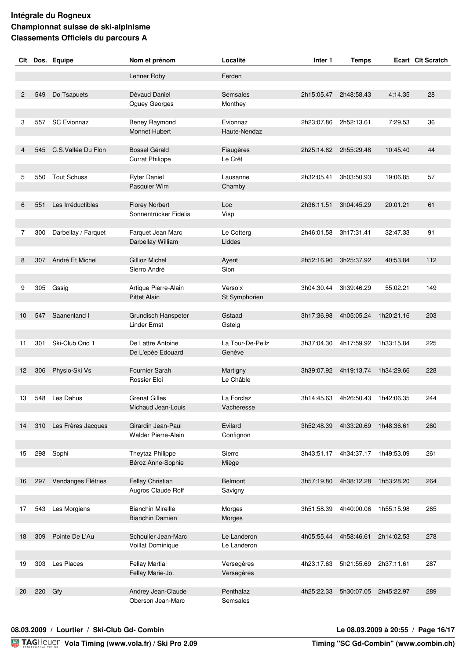| Clt |     | Dos. Equipe            | Nom et prénom                         | Localité                 | Inter 1    | <b>Temps</b>                     |            | Ecart Clt Scratch |
|-----|-----|------------------------|---------------------------------------|--------------------------|------------|----------------------------------|------------|-------------------|
|     |     |                        | Lehner Roby                           | Ferden                   |            |                                  |            |                   |
|     |     |                        |                                       |                          |            |                                  |            |                   |
| 2   | 549 | Do Tsapuets            | Dévaud Daniel                         | Semsales                 | 2h15:05.47 | 2h48:58.43                       | 4:14.35    | 28                |
|     |     |                        | Oguey Georges                         | Monthey                  |            |                                  |            |                   |
|     |     |                        |                                       |                          |            |                                  |            |                   |
| 3   | 557 | <b>SC Evionnaz</b>     | Beney Raymond<br><b>Monnet Hubert</b> | Evionnaz<br>Haute-Nendaz | 2h23:07.86 | 2h52:13.61                       | 7:29.53    | 36                |
|     |     |                        |                                       |                          |            |                                  |            |                   |
| 4   | 545 | C.S. Vallée Du Flon    | <b>Bossel Gérald</b>                  | Fiaugères                | 2h25:14.82 | 2h55:29.48                       | 10:45.40   | 44                |
|     |     |                        | <b>Currat Philippe</b>                | Le Crêt                  |            |                                  |            |                   |
|     |     |                        |                                       |                          |            |                                  |            |                   |
| 5   | 550 | <b>Tout Schuss</b>     | <b>Ryter Daniel</b><br>Pasquier Wim   | Lausanne<br>Chamby       | 2h32:05.41 | 3h03:50.93                       | 19:06.85   | 57                |
|     |     |                        |                                       |                          |            |                                  |            |                   |
| 6   | 551 | Les Irréductibles      | <b>Florey Norbert</b>                 | Loc                      | 2h36:11.51 | 3h04:45.29                       | 20:01.21   | 61                |
|     |     |                        | Sonnentrücker Fidelis                 | Visp                     |            |                                  |            |                   |
|     |     |                        |                                       |                          |            |                                  |            |                   |
| 7   | 300 | Darbellay / Farquet    | Farquet Jean Marc                     | Le Cotterg<br>Liddes     | 2h46:01.58 | 3h17:31.41                       | 32:47.33   | 91                |
|     |     |                        | Darbellay William                     |                          |            |                                  |            |                   |
| 8   | 307 | André Et Michel        | Gillioz Michel                        | Ayent                    | 2h52:16.90 | 3h25:37.92                       | 40:53.84   | 112               |
|     |     |                        | Sierro André                          | Sion                     |            |                                  |            |                   |
|     |     |                        |                                       |                          |            |                                  |            |                   |
| 9   | 305 | Gssig                  | Artique Pierre-Alain                  | Versoix                  | 3h04:30.44 | 3h39:46.29                       | 55:02.21   | 149               |
|     |     |                        | <b>Pittet Alain</b>                   | St Symphorien            |            |                                  |            |                   |
| 10  | 547 | Saanenland I           | Grundisch Hanspeter                   | Gstaad                   | 3h17:36.98 | 4h05:05.24                       | 1h20:21.16 | 203               |
|     |     |                        | <b>Linder Ernst</b>                   | Gsteig                   |            |                                  |            |                   |
|     |     |                        |                                       |                          |            |                                  |            |                   |
| 11  | 301 | Ski-Club Qnd 1         | De Lattre Antoine                     | La Tour-De-Peilz         | 3h37:04.30 | 4h17:59.92                       | 1h33:15.84 | 225               |
|     |     |                        | De L'epée Edouard                     | Genève                   |            |                                  |            |                   |
| 12  | 306 | Physio-Ski Vs          | Fournier Sarah                        | Martigny                 | 3h39:07.92 | 4h19:13.74                       | 1h34:29.66 | 228               |
|     |     |                        | Rossier Eloi                          | Le Châble                |            |                                  |            |                   |
|     |     |                        |                                       |                          |            |                                  |            |                   |
| 13  |     | 548 Les Dahus          | <b>Grenat Gilles</b>                  | La Forclaz               | 3h14:45.63 | 4h26:50.43                       | 1h42:06.35 | 244               |
|     |     |                        | Michaud Jean-Louis                    | Vacheresse               |            |                                  |            |                   |
| 14  | 310 | Les Frères Jacques     | Girardin Jean-Paul                    | Evilard                  | 3h52:48.39 | 4h33:20.69                       | 1h48:36.61 | 260               |
|     |     |                        | <b>Walder Pierre-Alain</b>            | Confignon                |            |                                  |            |                   |
|     |     |                        |                                       |                          |            |                                  |            |                   |
| 15  | 298 | Sophi                  | Theytaz Philippe                      | Sierre                   |            | 3h43:51.17 4h34:37.17 1h49:53.09 |            | 261               |
|     |     |                        | Béroz Anne-Sophie                     | Miège                    |            |                                  |            |                   |
| 16  |     | 297 Vendanges Flétries | Fellay Christian                      | Belmont                  | 3h57:19.80 | 4h38:12.28                       | 1h53:28.20 | 264               |
|     |     |                        | Augros Claude Rolf                    | Savigny                  |            |                                  |            |                   |
|     |     |                        |                                       |                          |            |                                  |            |                   |
| 17  | 543 | Les Morgiens           | <b>Bianchin Mireille</b>              | Morges                   | 3h51:58.39 | 4h40:00.06                       | 1h55:15.98 | 265               |
|     |     |                        | <b>Bianchin Damien</b>                | Morges                   |            |                                  |            |                   |
| 18  | 309 | Pointe De L'Au         | Schouller Jean-Marc                   | Le Landeron              | 4h05:55.44 | 4h58:46.61                       | 2h14:02.53 | 278               |
|     |     |                        | Voillat Dominique                     | Le Landeron              |            |                                  |            |                   |
|     |     |                        |                                       |                          |            |                                  |            |                   |
| 19  |     | 303 Les Places         | <b>Fellay Martial</b>                 | Versegères               | 4h23:17.63 | 5h21:55.69                       | 2h37:11.61 | 287               |
|     |     |                        | Fellay Marie-Jo.                      | Versegères               |            |                                  |            |                   |
| 20  | 220 | Gfy                    | Andrey Jean-Claude                    | Penthalaz                | 4h25:22.33 | 5h30:07.05                       | 2h45:22.97 | 289               |
|     |     |                        | Oberson Jean-Marc                     | Semsales                 |            |                                  |            |                   |
|     |     |                        |                                       |                          |            |                                  |            |                   |